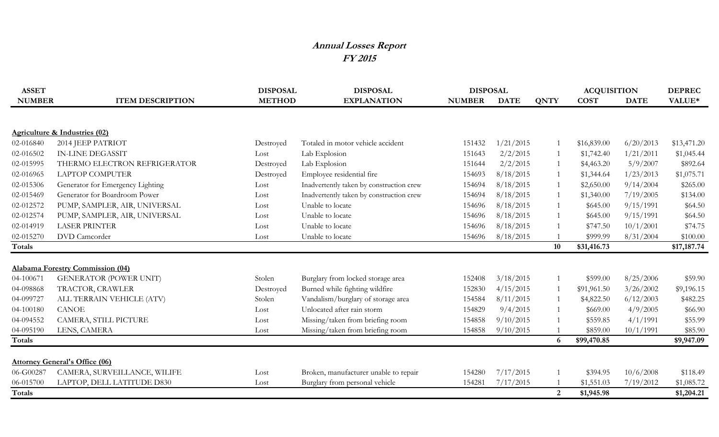## **Annual Losses Report FY 2015**

| <b>ASSET</b>  |                                          | <b>DISPOSAL</b> | <b>DISPOSAL</b>                          | <b>DISPOSAL</b> |             |                | <b>ACQUISITION</b> |             | <b>DEPREC</b> |
|---------------|------------------------------------------|-----------------|------------------------------------------|-----------------|-------------|----------------|--------------------|-------------|---------------|
| <b>NUMBER</b> | <b>ITEM DESCRIPTION</b>                  | <b>METHOD</b>   | <b>EXPLANATION</b>                       | <b>NUMBER</b>   | <b>DATE</b> | <b>QNTY</b>    | <b>COST</b>        | <b>DATE</b> | VALUE*        |
|               |                                          |                 |                                          |                 |             |                |                    |             |               |
|               | <b>Agriculture &amp; Industries (02)</b> |                 |                                          |                 |             |                |                    |             |               |
| 02-016840     | 2014 JEEP PATRIOT                        | Destroyed       | Totaled in motor vehicle accident        | 151432          | 1/21/2015   |                | \$16,839.00        | 6/20/2013   | \$13,471.20   |
| 02-016502     | <b>IN-LINE DEGASSIT</b>                  | Lost            | Lab Explosion                            | 151643          | 2/2/2015    |                | \$1,742.40         | 1/21/2011   | \$1,045.44    |
| 02-015995     | THERMO ELECTRON REFRIGERATOR             | Destroyed       | Lab Explosion                            | 151644          | 2/2/2015    |                | \$4,463.20         | 5/9/2007    | \$892.64      |
| 02-016965     | <b>LAPTOP COMPUTER</b>                   | Destroyed       | Employee residential fire                | 154693          | 8/18/2015   |                | \$1,344.64         | 1/23/2013   | \$1,075.71    |
| 02-015306     | Generator for Emergency Lighting         | Lost            | Inadvertently taken by construction crew | 154694          | 8/18/2015   | -1             | \$2,650.00         | 9/14/2004   | \$265.00      |
| 02-015469     | Generator for Boardroom Power            | Lost            | Inadvertently taken by construction crew | 154694          | 8/18/2015   | -1             | \$1,340.00         | 7/19/2005   | \$134.00      |
| 02-012572     | PUMP, SAMPLER, AIR, UNIVERSAL            | Lost            | Unable to locate                         | 154696          | 8/18/2015   |                | \$645.00           | 9/15/1991   | \$64.50       |
| 02-012574     | PUMP, SAMPLER, AIR, UNIVERSAL            | Lost            | Unable to locate                         | 154696          | 8/18/2015   |                | \$645.00           | 9/15/1991   | \$64.50       |
| 02-014919     | <b>LASER PRINTER</b>                     | Lost            | Unable to locate                         | 154696          | 8/18/2015   |                | \$747.50           | 10/1/2001   | \$74.75       |
| 02-015270     | DVD Camcorder                            | Lost            | Unable to locate                         | 154696          | 8/18/2015   |                | \$999.99           | 8/31/2004   | \$100.00      |
| <b>Totals</b> |                                          |                 |                                          |                 |             | 10             | \$31,416.73        |             | \$17,187.74   |
|               |                                          |                 |                                          |                 |             |                |                    |             |               |
|               | <b>Alabama Forestry Commission (04)</b>  |                 |                                          |                 |             |                |                    |             |               |
| 04-100671     | <b>GENERATOR (POWER UNIT)</b>            | Stolen          | Burglary from locked storage area        | 152408          | 3/18/2015   | -1             | \$599.00           | 8/25/2006   | \$59.90       |
| 04-098868     | TRACTOR, CRAWLER                         | Destroyed       | Burned while fighting wildfire           | 152830          | 4/15/2015   |                | \$91,961.50        | 3/26/2002   | \$9,196.15    |
| 04-099727     | ALL TERRAIN VEHICLE (ATV)                | Stolen          | Vandalism/burglary of storage area       | 154584          | 8/11/2015   |                | \$4,822.50         | 6/12/2003   | \$482.25      |
| 04-100180     | <b>CANOE</b>                             | Lost            | Unlocated after rain storm               | 154829          | 9/4/2015    |                | \$669.00           | 4/9/2005    | \$66.90       |
| 04-094552     | CAMERA, STILL PICTURE                    | Lost            | Missing/taken from briefing room         | 154858          | 9/10/2015   |                | \$559.85           | 4/1/1991    | \$55.99       |
| 04-095190     | LENS, CAMERA                             | Lost            | Missing/taken from briefing room         | 154858          | 9/10/2015   |                | \$859.00           | 10/1/1991   | \$85.90       |
| Totals        |                                          |                 |                                          |                 |             | 6              | \$99,470.85        |             | \$9,947.09    |
|               |                                          |                 |                                          |                 |             |                |                    |             |               |
|               | <b>Attorney General's Office (06)</b>    |                 |                                          |                 |             |                |                    |             |               |
| 06-G00287     | CAMERA, SURVEILLANCE, WILIFE             | Lost            | Broken, manufacturer unable to repair    | 154280          | 7/17/2015   |                | \$394.95           | 10/6/2008   | \$118.49      |
| 06-015700     | LAPTOP, DELL LATITUDE D830               | Lost            | Burglary from personal vehicle           | 154281          | 7/17/2015   |                | \$1,551.03         | 7/19/2012   | \$1,085.72    |
| Totals        |                                          |                 |                                          |                 |             | $\overline{2}$ | \$1,945.98         |             | \$1,204.21    |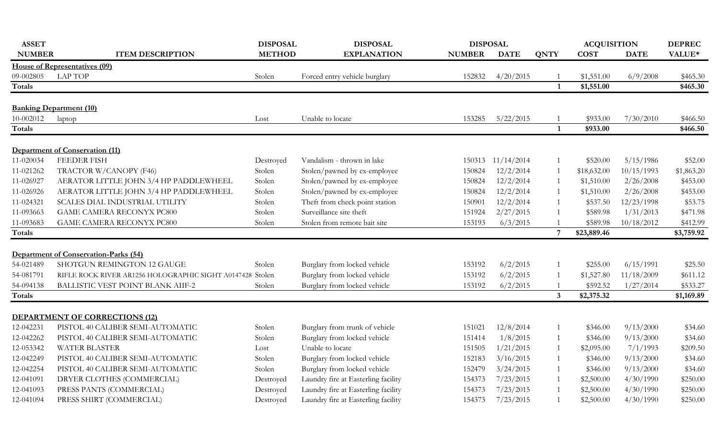| <b>ASSET</b>  |                                                           | <b>DISPOSAL</b> | <b>DISPOSAL</b>                     | <b>DISPOSAL</b> |                   |                | <b>ACQUISITION</b> |             | <b>DEPREC</b> |
|---------------|-----------------------------------------------------------|-----------------|-------------------------------------|-----------------|-------------------|----------------|--------------------|-------------|---------------|
| <b>NUMBER</b> | <b>ITEM DESCRIPTION</b>                                   | <b>METHOD</b>   | <b>EXPLANATION</b>                  | <b>NUMBER</b>   | <b>DATE</b>       | <b>QNTY</b>    | <b>COST</b>        | <b>DATE</b> | VALUE*        |
|               | <b>House of Representatives (09)</b>                      |                 |                                     |                 |                   |                |                    |             |               |
| 09-002805     | <b>LAP TOP</b>                                            | Stolen          | Forced entry vehicle burglary       | 152832          | 4/20/2015         |                | \$1,551.00         | 6/9/2008    | \$465.30      |
| <b>Totals</b> |                                                           |                 |                                     |                 |                   | $\mathbf{1}$   | \$1,551.00         |             | \$465.30      |
|               |                                                           |                 |                                     |                 |                   |                |                    |             |               |
|               | <b>Banking Department (10)</b>                            |                 |                                     |                 |                   |                |                    |             |               |
| 10-002012     | laptop                                                    | Lost            | Unable to locate                    | 153285          | 5/22/2015         | 1              | \$933.00           | 7/30/2010   | \$466.50      |
| Totals        |                                                           |                 |                                     |                 |                   | $\mathbf{1}$   | \$933.00           |             | \$466.50      |
|               | Department of Conservation (11)                           |                 |                                     |                 |                   |                |                    |             |               |
| 11-020034     | <b>FEEDER FISH</b>                                        | Destroyed       | Vandalism - thrown in lake          |                 | 150313 11/14/2014 | $\mathbf{1}$   | \$520.00           | 5/15/1986   | \$52.00       |
| 11-021262     | TRACTOR W/CANOPY (F46)                                    | Stolen          | Stolen/pawned by ex-employee        | 150824          | 12/2/2014         | 1              | \$18,632.00        | 10/15/1993  | \$1,863.20    |
| 11-026927     | AERATOR LITTLE JOHN 3/4 HP PADDLEWHEEL                    | Stolen          | Stolen/pawned by ex-employee        | 150824          | 12/2/2014         | 1              | \$1,510.00         | 2/26/2008   | \$453.00      |
| 11-026926     | AERATOR LITTLE JOHN 3/4 HP PADDLEWHEEL                    | Stolen          | Stolen/pawned by ex-employee        | 150824          | 12/2/2014         | 1              | \$1,510.00         | 2/26/2008   | \$453.00      |
| 11-024321     | SCALES DIAL INDUSTRIAL UTILITY                            | Stolen          | Theft from check point station      | 150901          | 12/2/2014         | 1              | \$537.50           | 12/23/1998  | \$53.75       |
| 11-093663     | <b>GAME CAMERA RECONYX PC800</b>                          | Stolen          | Surveillance site theft             | 151924          | 2/27/2015         | 1              | \$589.98           | 1/31/2013   | \$471.98      |
| 11-093683     | <b>GAME CAMERA RECONYX PC800</b>                          | Stolen          | Stolen from remote bait site        | 153193          | 6/3/2015          | $\overline{1}$ | \$589.98           | 10/18/2012  | \$412.99      |
| Totals        |                                                           |                 |                                     |                 |                   | $\overline{7}$ | \$23,889.46        |             | \$3,759.92    |
|               |                                                           |                 |                                     |                 |                   |                |                    |             |               |
|               | Department of Conservation-Parks (54)                     |                 |                                     |                 |                   |                |                    |             |               |
| 54-021489     | SHOTGUN REMINGTON 12 GAUGE                                | Stolen          | Burglary from locked vehicle        | 153192          | 6/2/2015          | 1              | \$255.00           | 6/15/1991   | \$25.50       |
| 54-081791     | RIFLE ROCK RIVER AR1256 HOLOGRAPHIC SIGHT A0147428 Stolen |                 | Burglary from locked vehicle        | 153192          | 6/2/2015          | 1              | \$1,527.80         | 11/18/2009  | \$611.12      |
| 54-094138     | BALLISTIC VEST POINT BLANK AIIF-2                         | Stolen          | Burglary from locked vehicle        | 153192          | 6/2/2015          | 1              | \$592.52           | 1/27/2014   | \$533.27      |
| Totals        |                                                           |                 |                                     |                 |                   | 3 <sup>1</sup> | \$2,375.32         |             | \$1,169.89    |
|               |                                                           |                 |                                     |                 |                   |                |                    |             |               |
|               | <b>DEPARTMENT OF CORRECTIONS (12)</b>                     |                 |                                     |                 |                   |                |                    |             |               |
| 12-042231     | PISTOL 40 CALIBER SEMI-AUTOMATIC                          | Stolen          | Burglary from trunk of vehicle      | 151021          | 12/8/2014         | 1              | \$346.00           | 9/13/2000   | \$34.60       |
| 12-042262     | PISTOL 40 CALIBER SEMI-AUTOMATIC                          | Stolen          | Burglary from locked vehicle        | 151414          | 1/8/2015          | 1              | \$346.00           | 9/13/2000   | \$34.60       |
| 12-053342     | WATER BLASTER                                             | Lost            | Unable to locate                    | 151505          | 1/21/2015         | 1              | \$2,095.00         | 7/1/1993    | \$209.50      |
| 12-042249     | PISTOL 40 CALIBER SEMI-AUTOMATIC                          | Stolen          | Burglary from locked vehicle        | 152183          | 3/16/2015         | 1              | \$346.00           | 9/13/2000   | \$34.60       |
| 12-042254     | PISTOL 40 CALIBER SEMI-AUTOMATIC                          | Stolen          | Burglary from locked vehicle        | 152479          | 3/24/2015         | 1              | \$346.00           | 9/13/2000   | \$34.60       |
| 12-041091     | DRYER CLOTHES (COMMERCIAL)                                | Destroyed       | Laundry fire at Easterling facility | 154373          | 7/23/2015         | $\mathbf{1}$   | \$2,500.00         | 4/30/1990   | \$250.00      |
| 12-041093     | PRESS PANTS (COMMERCIAL)                                  | Destroyed       | Laundry fire at Easterling facility | 154373          | 7/23/2015         | 1              | \$2,500.00         | 4/30/1990   | \$250.00      |
| 12-041094     | PRESS SHIRT (COMMERCIAL)                                  | Destroyed       | Laundry fire at Easterling facility | 154373          | 7/23/2015         | $\mathbf{1}$   | \$2,500.00         | 4/30/1990   | \$250.00      |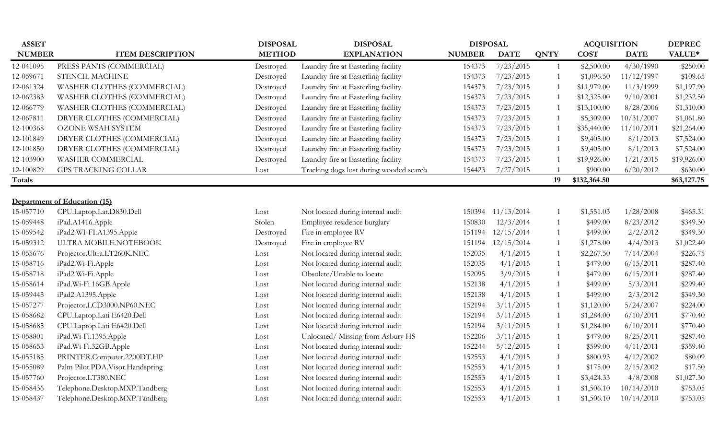| <b>ASSET</b>  |                                 | <b>DISPOSAL</b> | <b>DISPOSAL</b>                         | <b>DISPOSAL</b> |                   |                | <b>ACQUISITION</b> |             | <b>DEPREC</b> |
|---------------|---------------------------------|-----------------|-----------------------------------------|-----------------|-------------------|----------------|--------------------|-------------|---------------|
| <b>NUMBER</b> | <b>ITEM DESCRIPTION</b>         | <b>METHOD</b>   | <b>EXPLANATION</b>                      | <b>NUMBER</b>   | <b>DATE</b>       | <b>QNTY</b>    | <b>COST</b>        | <b>DATE</b> | VALUE*        |
| 12-041095     | PRESS PANTS (COMMERCIAL)        | Destroyed       | Laundry fire at Easterling facility     | 154373          | 7/23/2015         | 1              | \$2,500.00         | 4/30/1990   | \$250.00      |
| 12-059671     | STENCIL MACHINE                 | Destroyed       | Laundry fire at Easterling facility     | 154373          | 7/23/2015         | $\overline{1}$ | \$1,096.50         | 11/12/1997  | \$109.65      |
| 12-061324     | WASHER CLOTHES (COMMERCIAL)     | Destroyed       | Laundry fire at Easterling facility     | 154373          | 7/23/2015         | -1             | \$11,979.00        | 11/3/1999   | \$1,197.90    |
| 12-062383     | WASHER CLOTHES (COMMERCIAL)     | Destroyed       | Laundry fire at Easterling facility     | 154373          | 7/23/2015         | $\overline{1}$ | \$12,325.00        | 9/10/2001   | \$1,232.50    |
| 12-066779     | WASHER CLOTHES (COMMERCIAL)     | Destroyed       | Laundry fire at Easterling facility     | 154373          | 7/23/2015         | $\overline{1}$ | \$13,100.00        | 8/28/2006   | \$1,310.00    |
| 12-067811     | DRYER CLOTHES (COMMERCIAL)      | Destroyed       | Laundry fire at Easterling facility     | 154373          | 7/23/2015         | $\overline{1}$ | \$5,309.00         | 10/31/2007  | \$1,061.80    |
| 12-100368     | OZONE WSAH SYSTEM               | Destroyed       | Laundry fire at Easterling facility     | 154373          | 7/23/2015         | $\mathbf{1}$   | \$35,440.00        | 11/10/2011  | \$21,264.00   |
| 12-101849     | DRYER CLOTHES (COMMERCIAL)      | Destroyed       | Laundry fire at Easterling facility     | 154373          | 7/23/2015         | $\overline{1}$ | \$9,405.00         | 8/1/2013    | \$7,524.00    |
| 12-101850     | DRYER CLOTHES (COMMERCIAL)      | Destroyed       | Laundry fire at Easterling facility     | 154373          | 7/23/2015         | $\overline{1}$ | \$9,405.00         | 8/1/2013    | \$7,524.00    |
| 12-103900     | WASHER COMMERCIAL               | Destroyed       | Laundry fire at Easterling facility     | 154373          | 7/23/2015         |                | \$19,926.00        | 1/21/2015   | \$19,926.00   |
| 12-100829     | <b>GPS TRACKING COLLAR</b>      | Lost            | Tracking dogs lost during wooded search | 154423          | 7/27/2015         |                | \$900.00           | 6/20/2012   | \$630.00      |
| Totals        |                                 |                 |                                         |                 |                   | 19             | \$132,364.50       |             | \$63,127.75   |
|               |                                 |                 |                                         |                 |                   |                |                    |             |               |
|               | Department of Education (15)    |                 |                                         |                 |                   |                |                    |             |               |
| 15-057710     | CPU.Laptop.Lat.D830.Dell        | Lost            | Not located during internal audit       |                 | 150394 11/13/2014 |                | \$1,551.03         | 1/28/2008   | \$465.31      |
| 15-059448     | iPad.A1416.Apple                | Stolen          | Employee residence burglary             | 150830          | 12/3/2014         | $\overline{1}$ | \$499.00           | 8/23/2012   | \$349.30      |
| 15-059542     | iPad2.WI-FI.A1395.Apple         | Destroyed       | Fire in employee RV                     | 151194          | 12/15/2014        | 1              | \$499.00           | 2/2/2012    | \$349.30      |
| 15-059312     | ULTRA MOBILE.NOTEBOOK           | Destroyed       | Fire in employee RV                     | 151194          | 12/15/2014        | -1             | \$1,278.00         | 4/4/2013    | \$1,022.40    |
| 15-055676     | Projector.Ultra.LT260K.NEC      | Lost            | Not located during internal audit       | 152035          | 4/1/2015          | -1             | \$2,267.50         | 7/14/2004   | \$226.75      |
| 15-058716     | iPad2.Wi-Fi.Apple               | Lost            | Not located during internal audit       | 152035          | 4/1/2015          | 1              | \$479.00           | 6/15/2011   | \$287.40      |
| 15-058718     | iPad2.Wi-Fi.Apple               | Lost            | Obsolete/Unable to locate               | 152095          | 3/9/2015          | -1             | \$479.00           | 6/15/2011   | \$287.40      |
| 15-058614     | iPad.Wi-Fi 16GB.Apple           | Lost            | Not located during internal audit       | 152138          | 4/1/2015          |                | \$499.00           | 5/3/2011    | \$299.40      |
| 15-059445     | iPad2.A1395.Apple               | Lost            | Not located during internal audit       | 152138          | 4/1/2015          |                | \$499.00           | 2/3/2012    | \$349.30      |
| 15-057277     | Projector.LCD3000.NP60.NEC      | Lost            | Not located during internal audit       | 152194          | 3/11/2015         | $\overline{1}$ | \$1,120.00         | 5/24/2007   | \$224.00      |
| 15-058682     | CPU.Laptop.Lati E6420.Dell      | Lost            | Not located during internal audit       | 152194          | 3/11/2015         | $\overline{1}$ | \$1,284.00         | 6/10/2011   | \$770.40      |
| 15-058685     | CPU.Laptop.Lati E6420.Dell      | Lost            | Not located during internal audit       | 152194          | 3/11/2015         | 1              | \$1,284.00         | 6/10/2011   | \$770.40      |
| 15-058801     | iPad.Wi-Fi.1395.Apple           | Lost            | Unlocated/Missing from Asbury HS        | 152206          | 3/11/2015         | 1              | \$479.00           | 8/25/2011   | \$287.40      |
| 15-058653     | iPad.Wi-Fi.32GB.Apple           | Lost            | Not located during internal audit       | 152244          | 5/12/2015         | 1              | \$599.00           | 4/11/2011   | \$359.40      |
| 15-055185     | PRINTER.Computer.2200DT.HP      | Lost            | Not located during internal audit       | 152553          | 4/1/2015          | 1              | \$800.93           | 4/12/2002   | \$80.09       |
| 15-055089     | Palm Pilot.PDA.Visor.Handspring | Lost            | Not located during internal audit       | 152553          | 4/1/2015          | $\overline{1}$ | \$175.00           | 2/15/2002   | \$17.50       |
| 15-057760     | Projector.LT380.NEC             | Lost            | Not located during internal audit       | 152553          | 4/1/2015          | $\overline{1}$ | \$3,424.33         | 4/8/2008    | \$1,027.30    |
| 15-058436     | Telephone.Desktop.MXP.Tandberg  | Lost            | Not located during internal audit       | 152553          | 4/1/2015          |                | \$1,506.10         | 10/14/2010  | \$753.05      |
| 15-058437     | Telephone.Desktop.MXP.Tandberg  | Lost            | Not located during internal audit       | 152553          | 4/1/2015          |                | \$1,506.10         | 10/14/2010  | \$753.05      |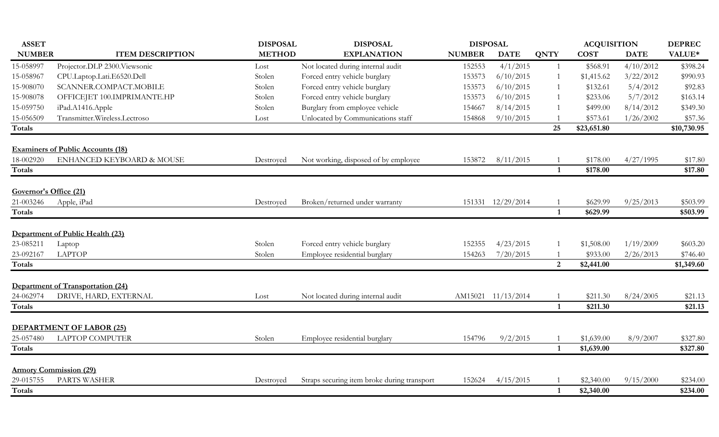| <b>ASSET</b>           |                                          | <b>DISPOSAL</b> | <b>DISPOSAL</b>                             | <b>DISPOSAL</b> |                    |                         | <b>ACQUISITION</b> |             | <b>DEPREC</b> |
|------------------------|------------------------------------------|-----------------|---------------------------------------------|-----------------|--------------------|-------------------------|--------------------|-------------|---------------|
| <b>NUMBER</b>          | <b>ITEM DESCRIPTION</b>                  | <b>METHOD</b>   | <b>EXPLANATION</b>                          | <b>NUMBER</b>   | <b>DATE</b>        | <b>QNTY</b>             | <b>COST</b>        | <b>DATE</b> | VALUE*        |
| 15-058997              | Projector.DLP 2300.Viewsonic             | Lost            | Not located during internal audit           | 152553          | 4/1/2015           | $\mathbf{1}$            | \$568.91           | 4/10/2012   | \$398.24      |
| 15-058967              | CPU.Laptop.Lati.E6520.Dell               | Stolen          | Forced entry vehicle burglary               | 153573          | 6/10/2015          | -1                      | \$1,415.62         | 3/22/2012   | \$990.93      |
| 15-908070              | SCANNER.COMPACT.MOBILE                   | Stolen          | Forced entry vehicle burglary               | 153573          | 6/10/2015          | $\overline{1}$          | \$132.61           | 5/4/2012    | \$92.83       |
| 15-908078              | OFFICEJET 100.IMPRIMANTE.HP              | Stolen          | Forced entry vehicle burglary               | 153573          | 6/10/2015          | $\overline{1}$          | \$233.06           | 5/7/2012    | \$163.14      |
| 15-059750              | iPad.A1416.Apple                         | Stolen          | Burglary from employee vehicle              | 154667          | 8/14/2015          |                         | \$499.00           | 8/14/2012   | \$349.30      |
| 15-056509              | Transmitter.Wireless.Lectroso            | Lost            | Unlocated by Communications staff           | 154868          | 9/10/2015          |                         | \$573.61           | 1/26/2002   | \$57.36       |
| Totals                 |                                          |                 |                                             |                 |                    | 25                      | \$23,651.80        |             | \$10,730.95   |
|                        | <b>Examiners of Public Accounts (18)</b> |                 |                                             |                 |                    |                         |                    |             |               |
| 18-002920              | ENHANCED KEYBOARD & MOUSE                | Destroyed       | Not working, disposed of by employee        | 153872          | 8/11/2015          |                         | \$178.00           | 4/27/1995   | \$17.80       |
| Totals                 |                                          |                 |                                             |                 |                    | $\overline{\mathbf{1}}$ | \$178.00           |             | \$17.80       |
|                        |                                          |                 |                                             |                 |                    |                         |                    |             |               |
| Governor's Office (21) |                                          |                 |                                             |                 |                    |                         |                    |             |               |
| 21-003246              | Apple, iPad                              | Destroyed       | Broken/returned under warranty              |                 | 151331 12/29/2014  |                         | \$629.99           | 9/25/2013   | \$503.99      |
| <b>Totals</b>          |                                          |                 |                                             |                 |                    | $\overline{1}$          | \$629.99           |             | \$503.99      |
|                        | Department of Public Health (23)         |                 |                                             |                 |                    |                         |                    |             |               |
| 23-085211              | Laptop                                   | Stolen          | Forced entry vehicle burglary               | 152355          | 4/23/2015          |                         | \$1,508.00         | 1/19/2009   | \$603.20      |
| 23-092167              | <b>LAPTOP</b>                            | Stolen          | Employee residential burglary               | 154263          | 7/20/2015          |                         | \$933.00           | 2/26/2013   | \$746.40      |
| <b>Totals</b>          |                                          |                 |                                             |                 |                    | 2                       | \$2,441.00         |             | \$1,349.60    |
|                        |                                          |                 |                                             |                 |                    |                         |                    |             |               |
|                        | Department of Transportation (24)        |                 |                                             |                 |                    |                         |                    |             |               |
| 24-062974              | DRIVE, HARD, EXTERNAL                    | Lost            | Not located during internal audit           |                 | AM15021 11/13/2014 |                         | \$211.30           | 8/24/2005   | \$21.13       |
| <b>Totals</b>          |                                          |                 |                                             |                 |                    | $\mathbf{1}$            | \$211.30           |             | \$21.13       |
|                        | DEPARTMENT OF LABOR (25)                 |                 |                                             |                 |                    |                         |                    |             |               |
| 25-057480              | <b>LAPTOP COMPUTER</b>                   | Stolen          | Employee residential burglary               | 154796          | 9/2/2015           |                         | \$1,639.00         | 8/9/2007    | \$327.80      |
| <b>Totals</b>          |                                          |                 |                                             |                 |                    | $\overline{1}$          | \$1,639.00         |             | \$327.80      |
|                        |                                          |                 |                                             |                 |                    |                         |                    |             |               |
|                        | <b>Armory Commission (29)</b>            |                 |                                             |                 |                    |                         |                    |             |               |
| 29-015755              | PARTS WASHER                             | Destroyed       | Straps securing item broke during transport | 152624          | 4/15/2015          |                         | \$2,340.00         | 9/15/2000   | \$234.00      |
| <b>Totals</b>          |                                          |                 |                                             |                 |                    | $\mathbf{1}$            | \$2,340.00         |             | \$234.00      |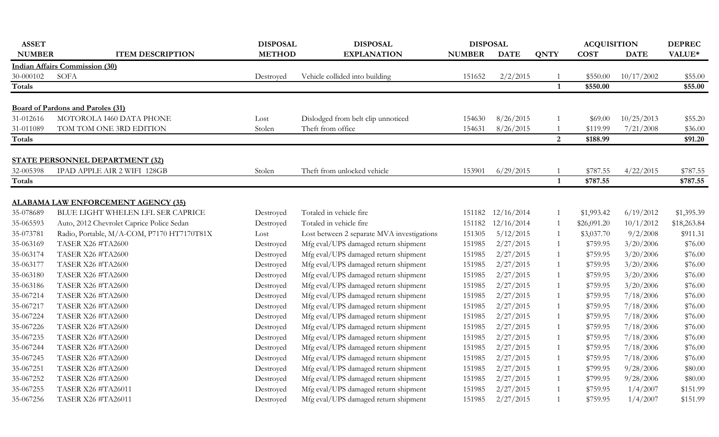| <b>ASSET</b>  |                                                                       | <b>DISPOSAL</b> | <b>DISPOSAL</b>                            | <b>DISPOSAL</b> |             |                | <b>ACQUISITION</b> |             | <b>DEPREC</b> |
|---------------|-----------------------------------------------------------------------|-----------------|--------------------------------------------|-----------------|-------------|----------------|--------------------|-------------|---------------|
| <b>NUMBER</b> | <b>ITEM DESCRIPTION</b>                                               | <b>METHOD</b>   | <b>EXPLANATION</b>                         | <b>NUMBER</b>   | <b>DATE</b> | <b>QNTY</b>    | <b>COST</b>        | <b>DATE</b> | VALUE*        |
|               | <b>Indian Affairs Commission (30)</b>                                 |                 |                                            |                 |             |                |                    |             |               |
| 30-000102     | <b>SOFA</b>                                                           | Destroved       | Vehicle collided into building             | 151652          | 2/2/2015    |                | \$550.00           | 10/17/2002  | \$55.00       |
| <b>Totals</b> |                                                                       |                 |                                            |                 |             | 1              | \$550.00           |             | \$55.00       |
|               |                                                                       |                 |                                            |                 |             |                |                    |             |               |
|               | <b>Board of Pardons and Paroles (31)</b>                              |                 |                                            |                 |             |                |                    |             |               |
| 31-012616     | MOTOROLA I460 DATA PHONE                                              | Lost            | Dislodged from belt clip unnoticed         | 154630          | 8/26/2015   | 1              | \$69.00            | 10/25/2013  | \$55.20       |
| 31-011089     | TOM TOM ONE 3RD EDITION                                               | Stolen          | Theft from office                          | 154631          | 8/26/2015   | $\mathbf{1}$   | \$119.99           | 7/21/2008   | \$36.00       |
| Totals        |                                                                       |                 |                                            |                 |             | $\overline{2}$ | \$188.99           |             | \$91.20       |
|               |                                                                       |                 |                                            |                 |             |                |                    |             |               |
| 32-005398     | <b>STATE PERSONNEL DEPARTMENT (32)</b><br>IPAD APPLE AIR 2 WIFI 128GB | Stolen          | Theft from unlocked vehicle                | 153901          | 6/29/2015   |                | \$787.55           | 4/22/2015   | \$787.55      |
| Totals        |                                                                       |                 |                                            |                 |             | $\mathbf{1}$   | \$787.55           |             | \$787.55      |
|               |                                                                       |                 |                                            |                 |             |                |                    |             |               |
|               | <b>ALABAMA LAW ENFORCEMENT AGENCY (35)</b>                            |                 |                                            |                 |             |                |                    |             |               |
| 35-078689     | BLUE LIGHT WHELEN LFL SER CAPRICE                                     | Destroyed       | Totaled in vehicle fire                    | 151182          | 12/16/2014  | $\mathbf{1}$   | \$1,993.42         | 6/19/2012   | \$1,395.39    |
| 35-065593     | Auto, 2012 Chevrolet Caprice Police Sedan                             | Destroyed       | Totaled in vehicle fire                    | 151182          | 12/16/2014  | 1              | \$26,091.20        | 10/1/2012   | \$18,263.84   |
| 35-073781     | Radio, Portable, M/A-COM, P7170 HT7170T81X                            | Lost            | Lost between 2 separate MVA investigations | 151305          | 5/12/2015   | 1              | \$3,037.70         | 9/2/2008    | \$911.31      |
| 35-063169     | <b>TASER X26 #TA2600</b>                                              | Destroyed       | Mfg eval/UPS damaged return shipment       | 151985          | 2/27/2015   | 1              | \$759.95           | 3/20/2006   | \$76.00       |
| 35-063174     | <b>TASER X26 #TA2600</b>                                              | Destroyed       | Mfg eval/UPS damaged return shipment       | 151985          | 2/27/2015   | 1              | \$759.95           | 3/20/2006   | \$76.00       |
| 35-063177     | <b>TASER X26 #TA2600</b>                                              | Destroyed       | Mfg eval/UPS damaged return shipment       | 151985          | 2/27/2015   | 1              | \$759.95           | 3/20/2006   | \$76.00       |
| 35-063180     | <b>TASER X26 #TA2600</b>                                              | Destroyed       | Mfg eval/UPS damaged return shipment       | 151985          | 2/27/2015   | 1              | \$759.95           | 3/20/2006   | \$76.00       |
| 35-063186     | <b>TASER X26 #TA2600</b>                                              | Destroyed       | Mfg eval/UPS damaged return shipment       | 151985          | 2/27/2015   | 1              | \$759.95           | 3/20/2006   | \$76.00       |
| 35-067214     | <b>TASER X26 #TA2600</b>                                              | Destroyed       | Mfg eval/UPS damaged return shipment       | 151985          | 2/27/2015   | 1              | \$759.95           | 7/18/2006   | \$76.00       |
| 35-067217     | <b>TASER X26 #TA2600</b>                                              | Destroyed       | Mfg eval/UPS damaged return shipment       | 151985          | 2/27/2015   | 1              | \$759.95           | 7/18/2006   | \$76.00       |
| 35-067224     | <b>TASER X26 #TA2600</b>                                              | Destroyed       | Mfg eval/UPS damaged return shipment       | 151985          | 2/27/2015   | $\mathbf{1}$   | \$759.95           | 7/18/2006   | \$76.00       |
| 35-067226     | <b>TASER X26 #TA2600</b>                                              | Destroyed       | Mfg eval/UPS damaged return shipment       | 151985          | 2/27/2015   | $\mathbf{1}$   | \$759.95           | 7/18/2006   | \$76.00       |
| 35-067235     | <b>TASER X26 #TA2600</b>                                              | Destroyed       | Mfg eval/UPS damaged return shipment       | 151985          | 2/27/2015   | 1              | \$759.95           | 7/18/2006   | \$76.00       |
| 35-067244     | <b>TASER X26 #TA2600</b>                                              | Destroyed       | Mfg eval/UPS damaged return shipment       | 151985          | 2/27/2015   | 1              | \$759.95           | 7/18/2006   | \$76.00       |
| 35-067245     | <b>TASER X26 #TA2600</b>                                              | Destroyed       | Mfg eval/UPS damaged return shipment       | 151985          | 2/27/2015   | 1              | \$759.95           | 7/18/2006   | \$76.00       |
| 35-067251     | <b>TASER X26 #TA2600</b>                                              | Destroyed       | Mfg eval/UPS damaged return shipment       | 151985          | 2/27/2015   | 1              | \$799.95           | 9/28/2006   | \$80.00       |
| 35-067252     | <b>TASER X26 #TA2600</b>                                              | Destroyed       | Mfg eval/UPS damaged return shipment       | 151985          | 2/27/2015   | 1              | \$799.95           | 9/28/2006   | \$80.00       |
| 35-067255     | TASER X26 #TA26011                                                    | Destroyed       | Mfg eval/UPS damaged return shipment       | 151985          | 2/27/2015   | 1              | \$759.95           | 1/4/2007    | \$151.99      |
| 35-067256     | TASER X26 #TA26011                                                    | Destroyed       | Mfg eval/UPS damaged return shipment       | 151985          | 2/27/2015   | $\mathbf{1}$   | \$759.95           | 1/4/2007    | \$151.99      |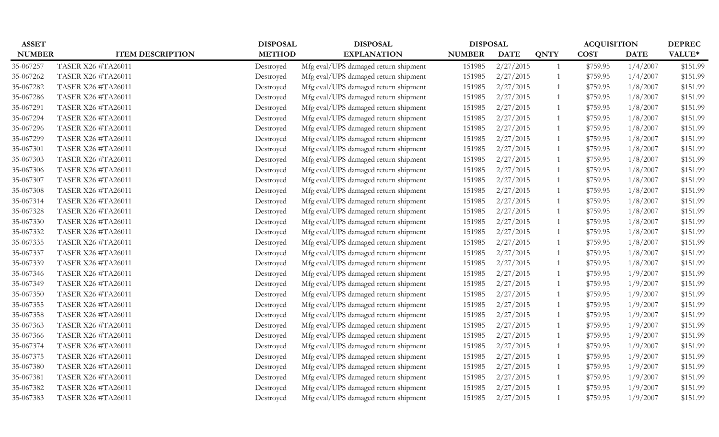| <b>ASSET</b>  |                           | <b>DISPOSAL</b> | <b>DISPOSAL</b>                      | <b>DISPOSAL</b> |             |             | <b>ACQUISITION</b> |             | <b>DEPREC</b> |
|---------------|---------------------------|-----------------|--------------------------------------|-----------------|-------------|-------------|--------------------|-------------|---------------|
| <b>NUMBER</b> | <b>ITEM DESCRIPTION</b>   | <b>METHOD</b>   | <b>EXPLANATION</b>                   | <b>NUMBER</b>   | <b>DATE</b> | <b>QNTY</b> | <b>COST</b>        | <b>DATE</b> | VALUE*        |
| 35-067257     | TASER X26 #TA26011        | Destroyed       | Mfg eval/UPS damaged return shipment | 151985          | 2/27/2015   |             | \$759.95           | 1/4/2007    | \$151.99      |
| 35-067262     | TASER X26 #TA26011        | Destroyed       | Mfg eval/UPS damaged return shipment | 151985          | 2/27/2015   |             | \$759.95           | 1/4/2007    | \$151.99      |
| 35-067282     | TASER X26 #TA26011        | Destroyed       | Mfg eval/UPS damaged return shipment | 151985          | 2/27/2015   |             | \$759.95           | 1/8/2007    | \$151.99      |
| 35-067286     | <b>TASER X26 #TA26011</b> | Destroyed       | Mfg eval/UPS damaged return shipment | 151985          | 2/27/2015   |             | \$759.95           | 1/8/2007    | \$151.99      |
| 35-067291     | TASER X26 #TA26011        | Destroyed       | Mfg eval/UPS damaged return shipment | 151985          | 2/27/2015   |             | \$759.95           | 1/8/2007    | \$151.99      |
| 35-067294     | TASER X26 #TA26011        | Destroyed       | Mfg eval/UPS damaged return shipment | 151985          | 2/27/2015   |             | \$759.95           | 1/8/2007    | \$151.99      |
| 35-067296     | TASER X26 #TA26011        | Destroyed       | Mfg eval/UPS damaged return shipment | 151985          | 2/27/2015   |             | \$759.95           | 1/8/2007    | \$151.99      |
| 35-067299     | <b>TASER X26 #TA26011</b> | Destroyed       | Mfg eval/UPS damaged return shipment | 151985          | 2/27/2015   |             | \$759.95           | 1/8/2007    | \$151.99      |
| 35-067301     | TASER X26 #TA26011        | Destroyed       | Mfg eval/UPS damaged return shipment | 151985          | 2/27/2015   |             | \$759.95           | 1/8/2007    | \$151.99      |
| 35-067303     | TASER X26 #TA26011        | Destroyed       | Mfg eval/UPS damaged return shipment | 151985          | 2/27/2015   |             | \$759.95           | 1/8/2007    | \$151.99      |
| 35-067306     | TASER X26 #TA26011        | Destroyed       | Mfg eval/UPS damaged return shipment | 151985          | 2/27/2015   |             | \$759.95           | 1/8/2007    | \$151.99      |
| 35-067307     | TASER X26 #TA26011        | Destroyed       | Mfg eval/UPS damaged return shipment | 151985          | 2/27/2015   |             | \$759.95           | 1/8/2007    | \$151.99      |
| 35-067308     | <b>TASER X26 #TA26011</b> | Destroyed       | Mfg eval/UPS damaged return shipment | 151985          | 2/27/2015   |             | \$759.95           | 1/8/2007    | \$151.99      |
| 35-067314     | TASER X26 #TA26011        | Destroyed       | Mfg eval/UPS damaged return shipment | 151985          | 2/27/2015   |             | \$759.95           | 1/8/2007    | \$151.99      |
| 35-067328     | <b>TASER X26 #TA26011</b> | Destroyed       | Mfg eval/UPS damaged return shipment | 151985          | 2/27/2015   |             | \$759.95           | 1/8/2007    | \$151.99      |
| 35-067330     | TASER X26 #TA26011        | Destroyed       | Mfg eval/UPS damaged return shipment | 151985          | 2/27/2015   |             | \$759.95           | 1/8/2007    | \$151.99      |
| 35-067332     | TASER X26 #TA26011        | Destroyed       | Mfg eval/UPS damaged return shipment | 151985          | 2/27/2015   |             | \$759.95           | 1/8/2007    | \$151.99      |
| 35-067335     | TASER X26 #TA26011        | Destroyed       | Mfg eval/UPS damaged return shipment | 151985          | 2/27/2015   |             | \$759.95           | 1/8/2007    | \$151.99      |
| 35-067337     | TASER X26 #TA26011        | Destroyed       | Mfg eval/UPS damaged return shipment | 151985          | 2/27/2015   |             | \$759.95           | 1/8/2007    | \$151.99      |
| 35-067339     | TASER X26 #TA26011        | Destroyed       | Mfg eval/UPS damaged return shipment | 151985          | 2/27/2015   |             | \$759.95           | 1/8/2007    | \$151.99      |
| 35-067346     | TASER X26 #TA26011        | Destroyed       | Mfg eval/UPS damaged return shipment | 151985          | 2/27/2015   |             | \$759.95           | 1/9/2007    | \$151.99      |
| 35-067349     | TASER X26 #TA26011        | Destroyed       | Mfg eval/UPS damaged return shipment | 151985          | 2/27/2015   |             | \$759.95           | 1/9/2007    | \$151.99      |
| 35-067350     | TASER X26 #TA26011        | Destroyed       | Mfg eval/UPS damaged return shipment | 151985          | 2/27/2015   |             | \$759.95           | 1/9/2007    | \$151.99      |
| 35-067355     | TASER X26 #TA26011        | Destroyed       | Mfg eval/UPS damaged return shipment | 151985          | 2/27/2015   |             | \$759.95           | 1/9/2007    | \$151.99      |
| 35-067358     | TASER X26 #TA26011        | Destroyed       | Mfg eval/UPS damaged return shipment | 151985          | 2/27/2015   |             | \$759.95           | 1/9/2007    | \$151.99      |
| 35-067363     | TASER X26 #TA26011        | Destroyed       | Mfg eval/UPS damaged return shipment | 151985          | 2/27/2015   |             | \$759.95           | 1/9/2007    | \$151.99      |
| 35-067366     | TASER X26 #TA26011        | Destroyed       | Mfg eval/UPS damaged return shipment | 151985          | 2/27/2015   |             | \$759.95           | 1/9/2007    | \$151.99      |
| 35-067374     | <b>TASER X26 #TA26011</b> | Destroyed       | Mfg eval/UPS damaged return shipment | 151985          | 2/27/2015   |             | \$759.95           | 1/9/2007    | \$151.99      |
| 35-067375     | TASER X26 #TA26011        | Destroyed       | Mfg eval/UPS damaged return shipment | 151985          | 2/27/2015   |             | \$759.95           | 1/9/2007    | \$151.99      |
| 35-067380     | <b>TASER X26 #TA26011</b> | Destroyed       | Mfg eval/UPS damaged return shipment | 151985          | 2/27/2015   |             | \$759.95           | 1/9/2007    | \$151.99      |
| 35-067381     | TASER X26 #TA26011        | Destroyed       | Mfg eval/UPS damaged return shipment | 151985          | 2/27/2015   |             | \$759.95           | 1/9/2007    | \$151.99      |
| 35-067382     | TASER X26 #TA26011        | Destroyed       | Mfg eval/UPS damaged return shipment | 151985          | 2/27/2015   |             | \$759.95           | 1/9/2007    | \$151.99      |
| 35-067383     | TASER X26 #TA26011        | Destroyed       | Mfg eval/UPS damaged return shipment | 151985          | 2/27/2015   |             | \$759.95           | 1/9/2007    | \$151.99      |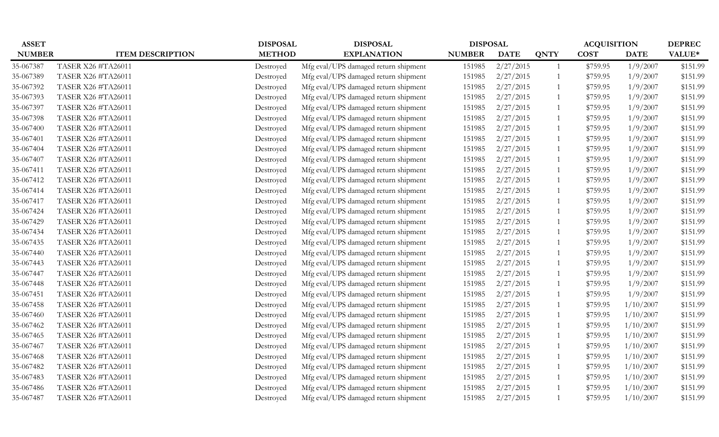| <b>ASSET</b>  |                         | <b>DISPOSAL</b> | <b>DISPOSAL</b>                      | <b>DISPOSAL</b> |             |             | <b>ACQUISITION</b> |             | <b>DEPREC</b> |
|---------------|-------------------------|-----------------|--------------------------------------|-----------------|-------------|-------------|--------------------|-------------|---------------|
| <b>NUMBER</b> | <b>ITEM DESCRIPTION</b> | <b>METHOD</b>   | <b>EXPLANATION</b>                   | <b>NUMBER</b>   | <b>DATE</b> | <b>QNTY</b> | <b>COST</b>        | <b>DATE</b> | VALUE*        |
| 35-067387     | TASER X26 #TA26011      | Destroyed       | Mfg eval/UPS damaged return shipment | 151985          | 2/27/2015   |             | \$759.95           | 1/9/2007    | \$151.99      |
| 35-067389     | TASER X26 #TA26011      | Destroyed       | Mfg eval/UPS damaged return shipment | 151985          | 2/27/2015   |             | \$759.95           | 1/9/2007    | \$151.99      |
| 35-067392     | TASER X26 #TA26011      | Destroyed       | Mfg eval/UPS damaged return shipment | 151985          | 2/27/2015   |             | \$759.95           | 1/9/2007    | \$151.99      |
| 35-067393     | TASER X26 #TA26011      | Destroyed       | Mfg eval/UPS damaged return shipment | 151985          | 2/27/2015   |             | \$759.95           | 1/9/2007    | \$151.99      |
| 35-067397     | TASER X26 #TA26011      | Destroyed       | Mfg eval/UPS damaged return shipment | 151985          | 2/27/2015   |             | \$759.95           | 1/9/2007    | \$151.99      |
| 35-067398     | TASER X26 #TA26011      | Destroyed       | Mfg eval/UPS damaged return shipment | 151985          | 2/27/2015   |             | \$759.95           | 1/9/2007    | \$151.99      |
| 35-067400     | TASER X26 #TA26011      | Destroyed       | Mfg eval/UPS damaged return shipment | 151985          | 2/27/2015   |             | \$759.95           | 1/9/2007    | \$151.99      |
| 35-067401     | TASER X26 #TA26011      | Destroyed       | Mfg eval/UPS damaged return shipment | 151985          | 2/27/2015   |             | \$759.95           | 1/9/2007    | \$151.99      |
| 35-067404     | TASER X26 #TA26011      | Destroyed       | Mfg eval/UPS damaged return shipment | 151985          | 2/27/2015   |             | \$759.95           | 1/9/2007    | \$151.99      |
| 35-067407     | TASER X26 #TA26011      | Destroyed       | Mfg eval/UPS damaged return shipment | 151985          | 2/27/2015   |             | \$759.95           | 1/9/2007    | \$151.99      |
| 35-067411     | TASER X26 #TA26011      | Destroyed       | Mfg eval/UPS damaged return shipment | 151985          | 2/27/2015   |             | \$759.95           | 1/9/2007    | \$151.99      |
| 35-067412     | TASER X26 #TA26011      | Destroyed       | Mfg eval/UPS damaged return shipment | 151985          | 2/27/2015   |             | \$759.95           | 1/9/2007    | \$151.99      |
| 35-067414     | TASER X26 #TA26011      | Destroyed       | Mfg eval/UPS damaged return shipment | 151985          | 2/27/2015   |             | \$759.95           | 1/9/2007    | \$151.99      |
| 35-067417     | TASER X26 #TA26011      | Destroyed       | Mfg eval/UPS damaged return shipment | 151985          | 2/27/2015   |             | \$759.95           | 1/9/2007    | \$151.99      |
| 35-067424     | TASER X26 #TA26011      | Destroyed       | Mfg eval/UPS damaged return shipment | 151985          | 2/27/2015   |             | \$759.95           | 1/9/2007    | \$151.99      |
| 35-067429     | TASER X26 #TA26011      | Destroyed       | Mfg eval/UPS damaged return shipment | 151985          | 2/27/2015   |             | \$759.95           | 1/9/2007    | \$151.99      |
| 35-067434     | TASER X26 #TA26011      | Destroyed       | Mfg eval/UPS damaged return shipment | 151985          | 2/27/2015   |             | \$759.95           | 1/9/2007    | \$151.99      |
| 35-067435     | TASER X26 #TA26011      | Destroyed       | Mfg eval/UPS damaged return shipment | 151985          | 2/27/2015   |             | \$759.95           | 1/9/2007    | \$151.99      |
| 35-067440     | TASER X26 #TA26011      | Destroyed       | Mfg eval/UPS damaged return shipment | 151985          | 2/27/2015   |             | \$759.95           | 1/9/2007    | \$151.99      |
| 35-067443     | TASER X26 #TA26011      | Destroyed       | Mfg eval/UPS damaged return shipment | 151985          | 2/27/2015   |             | \$759.95           | 1/9/2007    | \$151.99      |
| 35-067447     | TASER X26 #TA26011      | Destroyed       | Mfg eval/UPS damaged return shipment | 151985          | 2/27/2015   |             | \$759.95           | 1/9/2007    | \$151.99      |
| 35-067448     | TASER X26 #TA26011      | Destroyed       | Mfg eval/UPS damaged return shipment | 151985          | 2/27/2015   |             | \$759.95           | 1/9/2007    | \$151.99      |
| 35-067451     | TASER X26 #TA26011      | Destroyed       | Mfg eval/UPS damaged return shipment | 151985          | 2/27/2015   |             | \$759.95           | 1/9/2007    | \$151.99      |
| 35-067458     | TASER X26 #TA26011      | Destroyed       | Mfg eval/UPS damaged return shipment | 151985          | 2/27/2015   |             | \$759.95           | 1/10/2007   | \$151.99      |
| 35-067460     | TASER X26 #TA26011      | Destroyed       | Mfg eval/UPS damaged return shipment | 151985          | 2/27/2015   |             | \$759.95           | 1/10/2007   | \$151.99      |
| 35-067462     | TASER X26 #TA26011      | Destroyed       | Mfg eval/UPS damaged return shipment | 151985          | 2/27/2015   |             | \$759.95           | 1/10/2007   | \$151.99      |
| 35-067465     | TASER X26 #TA26011      | Destroyed       | Mfg eval/UPS damaged return shipment | 151985          | 2/27/2015   |             | \$759.95           | 1/10/2007   | \$151.99      |
| 35-067467     | TASER X26 #TA26011      | Destroyed       | Mfg eval/UPS damaged return shipment | 151985          | 2/27/2015   |             | \$759.95           | 1/10/2007   | \$151.99      |
| 35-067468     | TASER X26 #TA26011      | Destroyed       | Mfg eval/UPS damaged return shipment | 151985          | 2/27/2015   |             | \$759.95           | 1/10/2007   | \$151.99      |
| 35-067482     | TASER X26 #TA26011      | Destroyed       | Mfg eval/UPS damaged return shipment | 151985          | 2/27/2015   |             | \$759.95           | 1/10/2007   | \$151.99      |
| 35-067483     | TASER X26 #TA26011      | Destroyed       | Mfg eval/UPS damaged return shipment | 151985          | 2/27/2015   |             | \$759.95           | 1/10/2007   | \$151.99      |
| 35-067486     | TASER X26 #TA26011      | Destroyed       | Mfg eval/UPS damaged return shipment | 151985          | 2/27/2015   |             | \$759.95           | 1/10/2007   | \$151.99      |
| 35-067487     | TASER X26 #TA26011      | Destroyed       | Mfg eval/UPS damaged return shipment | 151985          | 2/27/2015   |             | \$759.95           | 1/10/2007   | \$151.99      |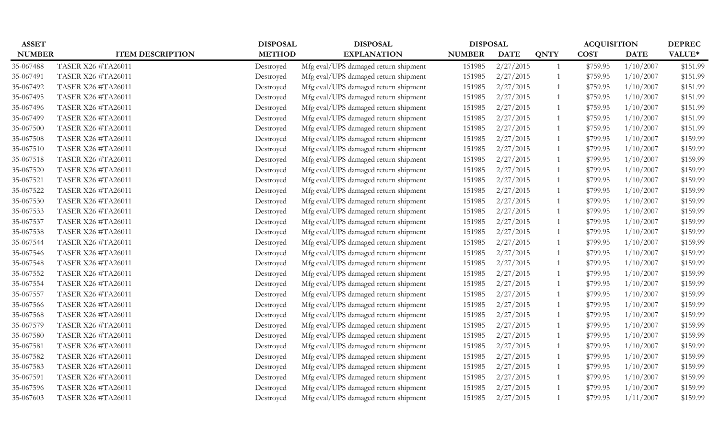| <b>ASSET</b>  |                           | <b>DISPOSAL</b> | <b>DISPOSAL</b>                      | <b>DISPOSAL</b> |             |             | <b>ACQUISITION</b> |             | <b>DEPREC</b> |
|---------------|---------------------------|-----------------|--------------------------------------|-----------------|-------------|-------------|--------------------|-------------|---------------|
| <b>NUMBER</b> | <b>ITEM DESCRIPTION</b>   | <b>METHOD</b>   | <b>EXPLANATION</b>                   | <b>NUMBER</b>   | <b>DATE</b> | <b>QNTY</b> | <b>COST</b>        | <b>DATE</b> | VALUE*        |
| 35-067488     | TASER X26 #TA26011        | Destroyed       | Mfg eval/UPS damaged return shipment | 151985          | 2/27/2015   |             | \$759.95           | 1/10/2007   | \$151.99      |
| 35-067491     | TASER X26 #TA26011        | Destroyed       | Mfg eval/UPS damaged return shipment | 151985          | 2/27/2015   |             | \$759.95           | 1/10/2007   | \$151.99      |
| 35-067492     | TASER X26 #TA26011        | Destroyed       | Mfg eval/UPS damaged return shipment | 151985          | 2/27/2015   |             | \$759.95           | 1/10/2007   | \$151.99      |
| 35-067495     | <b>TASER X26 #TA26011</b> | Destroyed       | Mfg eval/UPS damaged return shipment | 151985          | 2/27/2015   |             | \$759.95           | 1/10/2007   | \$151.99      |
| 35-067496     | TASER X26 #TA26011        | Destroyed       | Mfg eval/UPS damaged return shipment | 151985          | 2/27/2015   |             | \$759.95           | 1/10/2007   | \$151.99      |
| 35-067499     | TASER X26 #TA26011        | Destroyed       | Mfg eval/UPS damaged return shipment | 151985          | 2/27/2015   |             | \$759.95           | 1/10/2007   | \$151.99      |
| 35-067500     | TASER X26 #TA26011        | Destroyed       | Mfg eval/UPS damaged return shipment | 151985          | 2/27/2015   |             | \$759.95           | 1/10/2007   | \$151.99      |
| 35-067508     | <b>TASER X26 #TA26011</b> | Destroyed       | Mfg eval/UPS damaged return shipment | 151985          | 2/27/2015   |             | \$799.95           | 1/10/2007   | \$159.99      |
| 35-067510     | TASER X26 #TA26011        | Destroyed       | Mfg eval/UPS damaged return shipment | 151985          | 2/27/2015   |             | \$799.95           | 1/10/2007   | \$159.99      |
| 35-067518     | TASER X26 #TA26011        | Destroyed       | Mfg eval/UPS damaged return shipment | 151985          | 2/27/2015   |             | \$799.95           | 1/10/2007   | \$159.99      |
| 35-067520     | TASER X26 #TA26011        | Destroyed       | Mfg eval/UPS damaged return shipment | 151985          | 2/27/2015   |             | \$799.95           | 1/10/2007   | \$159.99      |
| 35-067521     | TASER X26 #TA26011        | Destroyed       | Mfg eval/UPS damaged return shipment | 151985          | 2/27/2015   |             | \$799.95           | 1/10/2007   | \$159.99      |
| 35-067522     | TASER X26 #TA26011        | Destroyed       | Mfg eval/UPS damaged return shipment | 151985          | 2/27/2015   |             | \$799.95           | 1/10/2007   | \$159.99      |
| 35-067530     | TASER X26 #TA26011        | Destroyed       | Mfg eval/UPS damaged return shipment | 151985          | 2/27/2015   |             | \$799.95           | 1/10/2007   | \$159.99      |
| 35-067533     | <b>TASER X26 #TA26011</b> | Destroyed       | Mfg eval/UPS damaged return shipment | 151985          | 2/27/2015   |             | \$799.95           | 1/10/2007   | \$159.99      |
| 35-067537     | TASER X26 #TA26011        | Destroyed       | Mfg eval/UPS damaged return shipment | 151985          | 2/27/2015   |             | \$799.95           | 1/10/2007   | \$159.99      |
| 35-067538     | TASER X26 #TA26011        | Destroyed       | Mfg eval/UPS damaged return shipment | 151985          | 2/27/2015   |             | \$799.95           | 1/10/2007   | \$159.99      |
| 35-067544     | TASER X26 #TA26011        | Destroyed       | Mfg eval/UPS damaged return shipment | 151985          | 2/27/2015   |             | \$799.95           | 1/10/2007   | \$159.99      |
| 35-067546     | TASER X26 #TA26011        | Destroyed       | Mfg eval/UPS damaged return shipment | 151985          | 2/27/2015   |             | \$799.95           | 1/10/2007   | \$159.99      |
| 35-067548     | TASER X26 #TA26011        | Destroyed       | Mfg eval/UPS damaged return shipment | 151985          | 2/27/2015   |             | \$799.95           | 1/10/2007   | \$159.99      |
| 35-067552     | TASER X26 #TA26011        | Destroyed       | Mfg eval/UPS damaged return shipment | 151985          | 2/27/2015   |             | \$799.95           | 1/10/2007   | \$159.99      |
| 35-067554     | TASER X26 #TA26011        | Destroyed       | Mfg eval/UPS damaged return shipment | 151985          | 2/27/2015   |             | \$799.95           | 1/10/2007   | \$159.99      |
| 35-067557     | TASER X26 #TA26011        | Destroyed       | Mfg eval/UPS damaged return shipment | 151985          | 2/27/2015   |             | \$799.95           | 1/10/2007   | \$159.99      |
| 35-067566     | TASER X26 #TA26011        | Destroyed       | Mfg eval/UPS damaged return shipment | 151985          | 2/27/2015   |             | \$799.95           | 1/10/2007   | \$159.99      |
| 35-067568     | TASER X26 #TA26011        | Destroyed       | Mfg eval/UPS damaged return shipment | 151985          | 2/27/2015   |             | \$799.95           | 1/10/2007   | \$159.99      |
| 35-067579     | TASER X26 #TA26011        | Destroyed       | Mfg eval/UPS damaged return shipment | 151985          | 2/27/2015   |             | \$799.95           | 1/10/2007   | \$159.99      |
| 35-067580     | TASER X26 #TA26011        | Destroyed       | Mfg eval/UPS damaged return shipment | 151985          | 2/27/2015   |             | \$799.95           | 1/10/2007   | \$159.99      |
| 35-067581     | <b>TASER X26 #TA26011</b> | Destroyed       | Mfg eval/UPS damaged return shipment | 151985          | 2/27/2015   |             | \$799.95           | 1/10/2007   | \$159.99      |
| 35-067582     | TASER X26 #TA26011        | Destroyed       | Mfg eval/UPS damaged return shipment | 151985          | 2/27/2015   |             | \$799.95           | 1/10/2007   | \$159.99      |
| 35-067583     | <b>TASER X26 #TA26011</b> | Destroyed       | Mfg eval/UPS damaged return shipment | 151985          | 2/27/2015   |             | \$799.95           | 1/10/2007   | \$159.99      |
| 35-067591     | TASER X26 #TA26011        | Destroyed       | Mfg eval/UPS damaged return shipment | 151985          | 2/27/2015   |             | \$799.95           | 1/10/2007   | \$159.99      |
| 35-067596     | TASER X26 #TA26011        | Destroyed       | Mfg eval/UPS damaged return shipment | 151985          | 2/27/2015   |             | \$799.95           | 1/10/2007   | \$159.99      |
| 35-067603     | TASER X26 #TA26011        | Destroyed       | Mfg eval/UPS damaged return shipment | 151985          | 2/27/2015   |             | \$799.95           | 1/11/2007   | \$159.99      |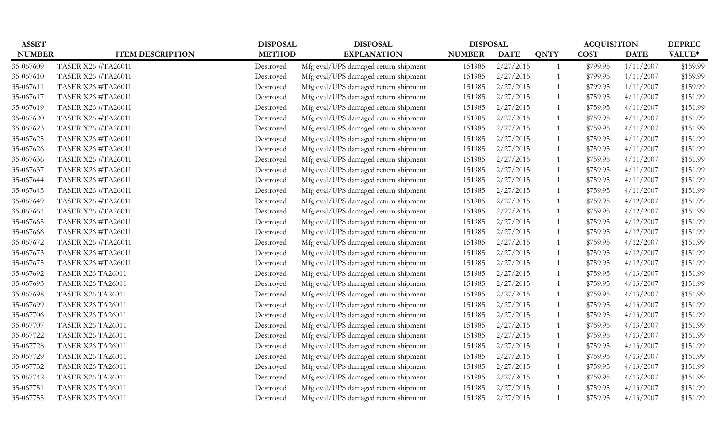| <b>ASSET</b>  |                           | <b>DISPOSAL</b> | <b>DISPOSAL</b>                      | <b>DISPOSAL</b> |             |             | <b>ACQUISITION</b> |             | <b>DEPREC</b> |
|---------------|---------------------------|-----------------|--------------------------------------|-----------------|-------------|-------------|--------------------|-------------|---------------|
| <b>NUMBER</b> | <b>ITEM DESCRIPTION</b>   | <b>METHOD</b>   | <b>EXPLANATION</b>                   | <b>NUMBER</b>   | <b>DATE</b> | <b>QNTY</b> | <b>COST</b>        | <b>DATE</b> | VALUE*        |
| 35-067609     | TASER X26 #TA26011        | Destroyed       | Mfg eval/UPS damaged return shipment | 151985          | 2/27/2015   |             | \$799.95           | 1/11/2007   | \$159.99      |
| 35-067610     | TASER X26 #TA26011        | Destroyed       | Mfg eval/UPS damaged return shipment | 151985          | 2/27/2015   |             | \$799.95           | 1/11/2007   | \$159.99      |
| 35-067611     | TASER X26 #TA26011        | Destroyed       | Mfg eval/UPS damaged return shipment | 151985          | 2/27/2015   |             | \$799.95           | 1/11/2007   | \$159.99      |
| 35-067617     | <b>TASER X26 #TA26011</b> | Destroyed       | Mfg eval/UPS damaged return shipment | 151985          | 2/27/2015   |             | \$759.95           | 4/11/2007   | \$151.99      |
| 35-067619     | TASER X26 #TA26011        | Destroyed       | Mfg eval/UPS damaged return shipment | 151985          | 2/27/2015   |             | \$759.95           | 4/11/2007   | \$151.99      |
| 35-067620     | TASER X26 #TA26011        | Destroyed       | Mfg eval/UPS damaged return shipment | 151985          | 2/27/2015   |             | \$759.95           | 4/11/2007   | \$151.99      |
| 35-067623     | TASER X26 #TA26011        | Destroyed       | Mfg eval/UPS damaged return shipment | 151985          | 2/27/2015   |             | \$759.95           | 4/11/2007   | \$151.99      |
| 35-067625     | <b>TASER X26 #TA26011</b> | Destroyed       | Mfg eval/UPS damaged return shipment | 151985          | 2/27/2015   |             | \$759.95           | 4/11/2007   | \$151.99      |
| 35-067626     | TASER X26 #TA26011        | Destroyed       | Mfg eval/UPS damaged return shipment | 151985          | 2/27/2015   |             | \$759.95           | 4/11/2007   | \$151.99      |
| 35-067636     | TASER X26 #TA26011        | Destroyed       | Mfg eval/UPS damaged return shipment | 151985          | 2/27/2015   |             | \$759.95           | 4/11/2007   | \$151.99      |
| 35-067637     | TASER X26 #TA26011        | Destroyed       | Mfg eval/UPS damaged return shipment | 151985          | 2/27/2015   |             | \$759.95           | 4/11/2007   | \$151.99      |
| 35-067644     | TASER X26 #TA26011        | Destroyed       | Mfg eval/UPS damaged return shipment | 151985          | 2/27/2015   |             | \$759.95           | 4/11/2007   | \$151.99      |
| 35-067645     | TASER X26 #TA26011        | Destroyed       | Mfg eval/UPS damaged return shipment | 151985          | 2/27/2015   |             | \$759.95           | 4/11/2007   | \$151.99      |
| 35-067649     | TASER X26 #TA26011        | Destroyed       | Mfg eval/UPS damaged return shipment | 151985          | 2/27/2015   |             | \$759.95           | 4/12/2007   | \$151.99      |
| 35-067661     | <b>TASER X26 #TA26011</b> | Destroyed       | Mfg eval/UPS damaged return shipment | 151985          | 2/27/2015   |             | \$759.95           | 4/12/2007   | \$151.99      |
| 35-067665     | TASER X26 #TA26011        | Destroyed       | Mfg eval/UPS damaged return shipment | 151985          | 2/27/2015   |             | \$759.95           | 4/12/2007   | \$151.99      |
| 35-067666     | TASER X26 #TA26011        | Destroyed       | Mfg eval/UPS damaged return shipment | 151985          | 2/27/2015   |             | \$759.95           | 4/12/2007   | \$151.99      |
| 35-067672     | TASER X26 #TA26011        | Destroyed       | Mfg eval/UPS damaged return shipment | 151985          | 2/27/2015   |             | \$759.95           | 4/12/2007   | \$151.99      |
| 35-067673     | TASER X26 #TA26011        | Destroyed       | Mfg eval/UPS damaged return shipment | 151985          | 2/27/2015   |             | \$759.95           | 4/12/2007   | \$151.99      |
| 35-067675     | TASER X26 #TA26011        | Destroyed       | Mfg eval/UPS damaged return shipment | 151985          | 2/27/2015   |             | \$759.95           | 4/12/2007   | \$151.99      |
| 35-067692     | <b>TASER X26 TA26011</b>  | Destroyed       | Mfg eval/UPS damaged return shipment | 151985          | 2/27/2015   |             | \$759.95           | 4/13/2007   | \$151.99      |
| 35-067693     | <b>TASER X26 TA26011</b>  | Destroyed       | Mfg eval/UPS damaged return shipment | 151985          | 2/27/2015   |             | \$759.95           | 4/13/2007   | \$151.99      |
| 35-067698     | <b>TASER X26 TA26011</b>  | Destroyed       | Mfg eval/UPS damaged return shipment | 151985          | 2/27/2015   |             | \$759.95           | 4/13/2007   | \$151.99      |
| 35-067699     | <b>TASER X26 TA26011</b>  | Destroyed       | Mfg eval/UPS damaged return shipment | 151985          | 2/27/2015   |             | \$759.95           | 4/13/2007   | \$151.99      |
| 35-067706     | <b>TASER X26 TA26011</b>  | Destroyed       | Mfg eval/UPS damaged return shipment | 151985          | 2/27/2015   |             | \$759.95           | 4/13/2007   | \$151.99      |
| 35-067707     | <b>TASER X26 TA26011</b>  | Destroyed       | Mfg eval/UPS damaged return shipment | 151985          | 2/27/2015   |             | \$759.95           | 4/13/2007   | \$151.99      |
| 35-067722     | <b>TASER X26 TA26011</b>  | Destroyed       | Mfg eval/UPS damaged return shipment | 151985          | 2/27/2015   |             | \$759.95           | 4/13/2007   | \$151.99      |
| 35-067728     | <b>TASER X26 TA26011</b>  | Destroyed       | Mfg eval/UPS damaged return shipment | 151985          | 2/27/2015   |             | \$759.95           | 4/13/2007   | \$151.99      |
| 35-067729     | <b>TASER X26 TA26011</b>  | Destroyed       | Mfg eval/UPS damaged return shipment | 151985          | 2/27/2015   |             | \$759.95           | 4/13/2007   | \$151.99      |
| 35-067732     | <b>TASER X26 TA26011</b>  | Destroyed       | Mfg eval/UPS damaged return shipment | 151985          | 2/27/2015   |             | \$759.95           | 4/13/2007   | \$151.99      |
| 35-067742     | <b>TASER X26 TA26011</b>  | Destroyed       | Mfg eval/UPS damaged return shipment | 151985          | 2/27/2015   |             | \$759.95           | 4/13/2007   | \$151.99      |
| 35-067751     | <b>TASER X26 TA26011</b>  | Destroyed       | Mfg eval/UPS damaged return shipment | 151985          | 2/27/2015   |             | \$759.95           | 4/13/2007   | \$151.99      |
| 35-067755     | <b>TASER X26 TA26011</b>  | Destroyed       | Mfg eval/UPS damaged return shipment | 151985          | 2/27/2015   |             | \$759.95           | 4/13/2007   | \$151.99      |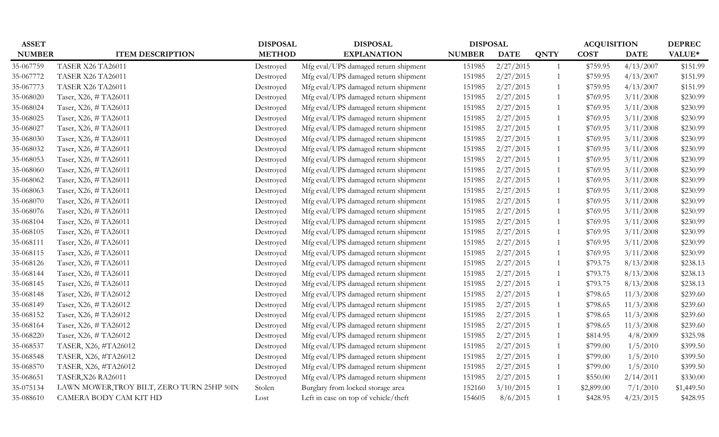| <b>ASSET</b>  |                                            | <b>DISPOSAL</b> | <b>DISPOSAL</b>                      | <b>DISPOSAL</b> |             |                | <b>ACQUISITION</b> |             | <b>DEPREC</b> |
|---------------|--------------------------------------------|-----------------|--------------------------------------|-----------------|-------------|----------------|--------------------|-------------|---------------|
| <b>NUMBER</b> | <b>ITEM DESCRIPTION</b>                    | <b>METHOD</b>   | <b>EXPLANATION</b>                   | <b>NUMBER</b>   | <b>DATE</b> | <b>QNTY</b>    | <b>COST</b>        | <b>DATE</b> | VALUE*        |
| 35-067759     | <b>TASER X26 TA26011</b>                   | Destroyed       | Mfg eval/UPS damaged return shipment | 151985          | 2/27/2015   | 1              | \$759.95           | 4/13/2007   | \$151.99      |
| 35-067772     | <b>TASER X26 TA26011</b>                   | Destroyed       | Mfg eval/UPS damaged return shipment | 151985          | 2/27/2015   | -1             | \$759.95           | 4/13/2007   | \$151.99      |
| 35-067773     | <b>TASER X26 TA26011</b>                   | Destroyed       | Mfg eval/UPS damaged return shipment | 151985          | 2/27/2015   | -1             | \$759.95           | 4/13/2007   | \$151.99      |
| 35-068020     | Taser, X26, #TA26011                       | Destroyed       | Mfg eval/UPS damaged return shipment | 151985          | 2/27/2015   | -1             | \$769.95           | 3/11/2008   | \$230.99      |
| 35-068024     | Taser, X26, #TA26011                       | Destroyed       | Mfg eval/UPS damaged return shipment | 151985          | 2/27/2015   | -1             | \$769.95           | 3/11/2008   | \$230.99      |
| 35-068025     | Taser, X26, #TA26011                       | Destroyed       | Mfg eval/UPS damaged return shipment | 151985          | 2/27/2015   | $\overline{1}$ | \$769.95           | 3/11/2008   | \$230.99      |
| 35-068027     | Taser, X26, #TA26011                       | Destroyed       | Mfg eval/UPS damaged return shipment | 151985          | 2/27/2015   | 1              | \$769.95           | 3/11/2008   | \$230.99      |
| 35-068030     | Taser, X26, #TA26011                       | Destroyed       | Mfg eval/UPS damaged return shipment | 151985          | 2/27/2015   | $\mathbf{1}$   | \$769.95           | 3/11/2008   | \$230.99      |
| 35-068032     | Taser, X26, #TA26011                       | Destroyed       | Mfg eval/UPS damaged return shipment | 151985          | 2/27/2015   | $\overline{1}$ | \$769.95           | 3/11/2008   | \$230.99      |
| 35-068053     | Taser, X26, #TA26011                       | Destroyed       | Mfg eval/UPS damaged return shipment | 151985          | 2/27/2015   | -1             | \$769.95           | 3/11/2008   | \$230.99      |
| 35-068060     | Taser, X26, #TA26011                       | Destroyed       | Mfg eval/UPS damaged return shipment | 151985          | 2/27/2015   | $\mathbf{1}$   | \$769.95           | 3/11/2008   | \$230.99      |
| 35-068062     | Taser, X26, #TA26011                       | Destroyed       | Mfg eval/UPS damaged return shipment | 151985          | 2/27/2015   | 1              | \$769.95           | 3/11/2008   | \$230.99      |
| 35-068063     | Taser, X26, #TA26011                       | Destroyed       | Mfg eval/UPS damaged return shipment | 151985          | 2/27/2015   | -1             | \$769.95           | 3/11/2008   | \$230.99      |
| 35-068070     | Taser, X26, #TA26011                       | Destroyed       | Mfg eval/UPS damaged return shipment | 151985          | 2/27/2015   | 1              | \$769.95           | 3/11/2008   | \$230.99      |
| 35-068076     | Taser, X26, #TA26011                       | Destroyed       | Mfg eval/UPS damaged return shipment | 151985          | 2/27/2015   | $\overline{1}$ | \$769.95           | 3/11/2008   | \$230.99      |
| 35-068104     | Taser, X26, #TA26011                       | Destroyed       | Mfg eval/UPS damaged return shipment | 151985          | 2/27/2015   | -1             | \$769.95           | 3/11/2008   | \$230.99      |
| 35-068105     | Taser, X26, #TA26011                       | Destroyed       | Mfg eval/UPS damaged return shipment | 151985          | 2/27/2015   | -1             | \$769.95           | 3/11/2008   | \$230.99      |
| 35-068111     | Taser, X26, #TA26011                       | Destroyed       | Mfg eval/UPS damaged return shipment | 151985          | 2/27/2015   | -1             | \$769.95           | 3/11/2008   | \$230.99      |
| 35-068115     | Taser, X26, #TA26011                       | Destroyed       | Mfg eval/UPS damaged return shipment | 151985          | 2/27/2015   | -1             | \$769.95           | 3/11/2008   | \$230.99      |
| 35-068126     | Taser, X26, #TA26011                       | Destroyed       | Mfg eval/UPS damaged return shipment | 151985          | 2/27/2015   | 1              | \$793.75           | 8/13/2008   | \$238.13      |
| 35-068144     | Taser, X26, #TA26011                       | Destroyed       | Mfg eval/UPS damaged return shipment | 151985          | 2/27/2015   | $\overline{1}$ | \$793.75           | 8/13/2008   | \$238.13      |
| 35-068145     | Taser, X26, #TA26011                       | Destroyed       | Mfg eval/UPS damaged return shipment | 151985          | 2/27/2015   | 1              | \$793.75           | 8/13/2008   | \$238.13      |
| 35-068148     | Taser, X26, #TA26012                       | Destroyed       | Mfg eval/UPS damaged return shipment | 151985          | 2/27/2015   |                | \$798.65           | 11/3/2008   | \$239.60      |
| 35-068149     | Taser, X26, #TA26012                       | Destroyed       | Mfg eval/UPS damaged return shipment | 151985          | 2/27/2015   | -1             | \$798.65           | 11/3/2008   | \$239.60      |
| 35-068152     | Taser, X26, #TA26012                       | Destroyed       | Mfg eval/UPS damaged return shipment | 151985          | 2/27/2015   | -1             | \$798.65           | 11/3/2008   | \$239.60      |
| 35-068164     | Taser, X26, #TA26012                       | Destroyed       | Mfg eval/UPS damaged return shipment | 151985          | 2/27/2015   | $\mathbf{1}$   | \$798.65           | 11/3/2008   | \$239.60      |
| 35-068220     | Taser, X26, #TA26012                       | Destroyed       | Mfg eval/UPS damaged return shipment | 151985          | 2/27/2015   | 1              | \$814.95           | 4/8/2009    | \$325.98      |
| 35-068537     | TASER, X26, #TA26012                       | Destroyed       | Mfg eval/UPS damaged return shipment | 151985          | 2/27/2015   | 1              | \$799.00           | 1/5/2010    | \$399.50      |
| 35-068548     | TASER, X26, #TA26012                       | Destroyed       | Mfg eval/UPS damaged return shipment | 151985          | 2/27/2015   | 1              | \$799.00           | 1/5/2010    | \$399.50      |
| 35-068570     | TASER, X26, #TA26012                       | Destroyed       | Mfg eval/UPS damaged return shipment | 151985          | 2/27/2015   | 1              | \$799.00           | 1/5/2010    | \$399.50      |
| 35-068651     | TASER, X26 RA26011                         | Destroyed       | Mfg eval/UPS damaged return shipment | 151985          | 2/27/2015   | -1             | \$550.00           | 2/14/2011   | \$330.00      |
| 35-075134     | LAWN MOWER, TROY BILT, ZERO TURN 25HP 50IN | Stolen          | Burglary from locked storage area    | 152160          | 3/10/2015   | $\overline{1}$ | \$2,899.00         | 7/1/2010    | \$1,449.50    |
| 35-088610     | CAMERA BODY CAM KIT HD                     | Lost            | Left in case on top of vehicle/theft | 154605          | 8/6/2015    | $\mathbf{1}$   | \$428.95           | 4/23/2015   | \$428.95      |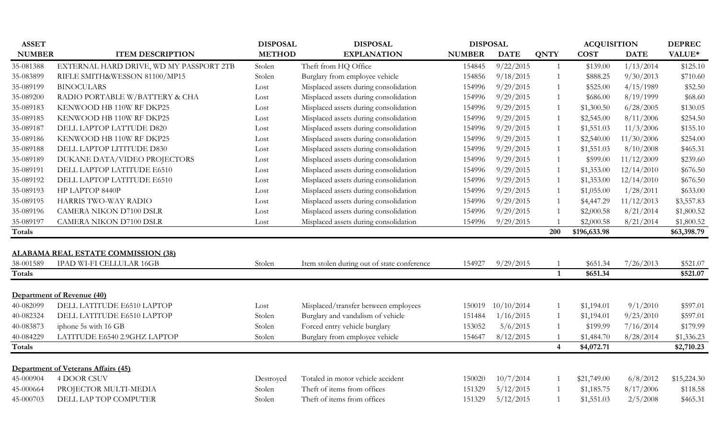| <b>ASSET</b>  |                                                                  | <b>DISPOSAL</b> | <b>DISPOSAL</b>                            | <b>DISPOSAL</b> |             |                | <b>ACQUISITION</b> |             | <b>DEPREC</b> |
|---------------|------------------------------------------------------------------|-----------------|--------------------------------------------|-----------------|-------------|----------------|--------------------|-------------|---------------|
| <b>NUMBER</b> | <b>ITEM DESCRIPTION</b>                                          | <b>METHOD</b>   | <b>EXPLANATION</b>                         | <b>NUMBER</b>   | <b>DATE</b> | <b>QNTY</b>    | <b>COST</b>        | <b>DATE</b> | VALUE*        |
| 35-081388     | EXTERNAL HARD DRIVE, WD MY PASSPORT 2TB                          | Stolen          | Theft from HQ Office                       | 154845          | 9/22/2015   | $\mathbf{1}$   | \$139.00           | 1/13/2014   | \$125.10      |
| 35-083899     | RIFLE SMITH&WESSON 81100/MP15                                    | Stolen          | Burglary from employee vehicle             | 154856          | 9/18/2015   | $\mathbf{1}$   | \$888.25           | 9/30/2013   | \$710.60      |
| 35-089199     | <b>BINOCULARS</b>                                                | Lost            | Misplaced assets during consolidation      | 154996          | 9/29/2015   |                | \$525.00           | 4/15/1989   | \$52.50       |
| 35-089200     | RADIO PORTABLE W/BATTERY & CHA                                   | Lost            | Misplaced assets during consolidation      | 154996          | 9/29/2015   |                | \$686.00           | 8/19/1999   | \$68.60       |
| 35-089183     | KENWOOD HB 110W RF DKP25                                         | Lost            | Misplaced assets during consolidation      | 154996          | 9/29/2015   |                | \$1,300.50         | 6/28/2005   | \$130.05      |
| 35-089185     | KENWOOD HB 110W RF DKP25                                         | Lost            | Misplaced assets during consolidation      | 154996          | 9/29/2015   |                | \$2,545.00         | 8/11/2006   | \$254.50      |
| 35-089187     | DELL LAPTOP LATTUDE D820                                         | Lost            | Misplaced assets during consolidation      | 154996          | 9/29/2015   |                | \$1,551.03         | 11/3/2006   | \$155.10      |
| 35-089186     | KENWOOD HB 110W RF DKP25                                         | Lost            | Misplaced assets during consolidation      | 154996          | 9/29/2015   |                | \$2,540.00         | 11/30/2006  | \$254.00      |
| 35-089188     | DELL LAPTOP LITITUDE D830                                        | Lost            | Misplaced assets during consolidation      | 154996          | 9/29/2015   | $\mathbf{1}$   | \$1,551.03         | 8/10/2008   | \$465.31      |
| 35-089189     | DUKANE DATA/VIDEO PROJECTORS                                     | Lost            | Misplaced assets during consolidation      | 154996          | 9/29/2015   |                | \$599.00           | 11/12/2009  | \$239.60      |
| 35-089191     | DELL LAPTOP LATITUDE E6510                                       | Lost            | Misplaced assets during consolidation      | 154996          | 9/29/2015   | $\mathbf{1}$   | \$1,353.00         | 12/14/2010  | \$676.50      |
| 35-089192     | DELL LAPTOP LATITUDE E6510                                       | Lost            | Misplaced assets during consolidation      | 154996          | 9/29/2015   |                | \$1,353.00         | 12/14/2010  | \$676.50      |
| 35-089193     | HP LAPTOP 8440P                                                  | Lost            | Misplaced assets during consolidation      | 154996          | 9/29/2015   |                | \$1,055.00         | 1/28/2011   | \$633.00      |
| 35-089195     | HARRIS TWO-WAY RADIO                                             | Lost            | Misplaced assets during consolidation      | 154996          | 9/29/2015   |                | \$4,447.29         | 11/12/2013  | \$3,557.83    |
| 35-089196     | <b>CAMERA NIKON D7100 DSLR</b>                                   | Lost            | Misplaced assets during consolidation      | 154996          | 9/29/2015   |                | \$2,000.58         | 8/21/2014   | \$1,800.52    |
| 35-089197     | <b>CAMERA NIKON D7100 DSLR</b>                                   | Lost            | Misplaced assets during consolidation      | 154996          | 9/29/2015   |                | \$2,000.58         | 8/21/2014   | \$1,800.52    |
| <b>Totals</b> |                                                                  |                 |                                            |                 |             | 200            | \$196,633.98       |             | \$63,398.79   |
|               |                                                                  |                 |                                            |                 |             |                |                    |             |               |
|               | <b>ALABAMA REAL ESTATE COMMISSION (38)</b>                       |                 |                                            |                 |             |                |                    |             |               |
| 38-001589     | IPAD WI-FI CELLULAR 16GB                                         | Stolen          | Item stolen during out of state conference | 154927          | 9/29/2015   |                | \$651.34           | 7/26/2013   | \$521.07      |
| <b>Totals</b> |                                                                  |                 |                                            |                 |             | $\mathbf{1}$   | \$651.34           |             | \$521.07      |
|               | Department of Revenue (40)                                       |                 |                                            |                 |             |                |                    |             |               |
| 40-082099     | DELL LATITUDE E6510 LAPTOP                                       | Lost            | Misplaced/transfer between employees       | 150019          | 10/10/2014  |                | \$1,194.01         | 9/1/2010    | \$597.01      |
| 40-082324     | DELL LATITUDE E6510 LAPTOP                                       | Stolen          | Burglary and vandalism of vehicle          | 151484          | 1/16/2015   |                | \$1,194.01         | 9/23/2010   | \$597.01      |
| 40-083873     | iphone 5s with 16 GB                                             | Stolen          | Forced entry vehicle burglary              | 153052          | 5/6/2015    |                | \$199.99           | 7/16/2014   | \$179.99      |
| 40-084229     | LATITUDE E6540 2.9GHZ LAPTOP                                     | Stolen          | Burglary from employee vehicle             | 154647          | 8/12/2015   |                | \$1,484.70         | 8/28/2014   | \$1,336.23    |
| Totals        |                                                                  |                 |                                            |                 |             | $\overline{4}$ | \$4,072.71         |             | \$2,710.23    |
|               |                                                                  |                 |                                            |                 |             |                |                    |             |               |
| 45-000904     | <b>Department of Veterans Affairs (45)</b><br><b>4 DOOR CSUV</b> |                 | Totaled in motor vehicle accident          | 150020          | 10/7/2014   |                | \$21,749.00        | 6/8/2012    | \$15,224.30   |
|               |                                                                  | Destroyed       | Theft of items from offices                |                 |             |                |                    | 8/17/2006   |               |
| 45-000664     | PROJECTOR MULTI-MEDIA<br>DELL LAP TOP COMPUTER                   | Stolen          |                                            | 151329          | 5/12/2015   |                | \$1,185.75         |             | \$118.58      |
| 45-000703     |                                                                  | Stolen          | Theft of items from offices                | 151329          | 5/12/2015   |                | \$1,551.03         | 2/5/2008    | \$465.31      |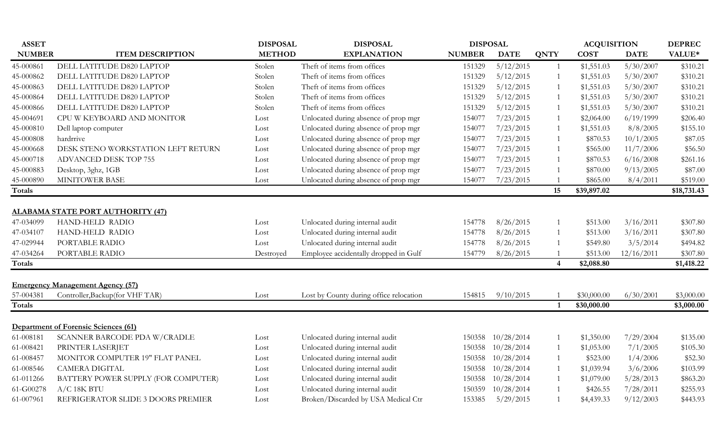| <b>ASSET</b>               |                                             | <b>DISPOSAL</b> | <b>DISPOSAL</b>                         | <b>DISPOSAL</b> |             |                | <b>ACQUISITION</b>         |             | <b>DEPREC</b>            |
|----------------------------|---------------------------------------------|-----------------|-----------------------------------------|-----------------|-------------|----------------|----------------------------|-------------|--------------------------|
| <b>NUMBER</b>              | <b>ITEM DESCRIPTION</b>                     | <b>METHOD</b>   | <b>EXPLANATION</b>                      | <b>NUMBER</b>   | <b>DATE</b> | <b>QNTY</b>    | <b>COST</b>                | <b>DATE</b> | VALUE*                   |
| 45-000861                  | DELL LATITUDE D820 LAPTOP                   | Stolen          | Theft of items from offices             | 151329          | 5/12/2015   | $\mathbf{1}$   | \$1,551.03                 | 5/30/2007   | \$310.21                 |
| 45-000862                  | DELL LATITUDE D820 LAPTOP                   | Stolen          | Theft of items from offices             | 151329          | 5/12/2015   | $\mathbf{1}$   | \$1,551.03                 | 5/30/2007   | \$310.21                 |
| 45-000863                  | DELL LATITUDE D820 LAPTOP                   | Stolen          | Theft of items from offices             | 151329          | 5/12/2015   | 1              | \$1,551.03                 | 5/30/2007   | \$310.21                 |
| 45-000864                  | DELL LATITUDE D820 LAPTOP                   | Stolen          | Theft of items from offices             | 151329          | 5/12/2015   | 1              | \$1,551.03                 | 5/30/2007   | \$310.21                 |
| 45-000866                  | DELL LATITUDE D820 LAPTOP                   | Stolen          | Theft of items from offices             | 151329          | 5/12/2015   | 1              | \$1,551.03                 | 5/30/2007   | \$310.21                 |
| 45-004691                  | CPU W KEYBOARD AND MONITOR                  | Lost            | Unlocated during absence of prop mgr    | 154077          | 7/23/2015   | 1              | \$2,064.00                 | 6/19/1999   | \$206.40                 |
| 45-000810                  | Dell laptop computer                        | Lost            | Unlocated during absence of prop mgr    | 154077          | 7/23/2015   | 1              | \$1,551.03                 | 8/8/2005    | \$155.10                 |
| 45-000808                  | hardrrive                                   | Lost            | Unlocated during absence of prop mgr    | 154077          | 7/23/2015   | 1              | \$870.53                   | 10/1/2005   | \$87.05                  |
| 45-000668                  | DESK STENO WORKSTATION LEFT RETURN          | Lost            | Unlocated during absence of prop mgr    | 154077          | 7/23/2015   | 1              | \$565.00                   | 11/7/2006   | \$56.50                  |
| 45-000718                  | ADVANCED DESK TOP 755                       | Lost            | Unlocated during absence of prop mgr    | 154077          | 7/23/2015   | $\mathbf{1}$   | \$870.53                   | 6/16/2008   | \$261.16                 |
| 45-000883                  | Desktop, 3ghz, 1GB                          | Lost            | Unlocated during absence of prop mgr    | 154077          | 7/23/2015   | $\mathbf{1}$   | \$870.00                   | 9/13/2005   | \$87.00                  |
| 45-000890                  | <b>MINITOWER BASE</b>                       | Lost            | Unlocated during absence of prop mgr    | 154077          | 7/23/2015   |                | \$865.00                   | 8/4/2011    | \$519.00                 |
| <b>Totals</b>              |                                             |                 |                                         |                 |             | 15             | \$39,897.02                |             | \$18,731.43              |
|                            |                                             |                 |                                         |                 |             |                |                            |             |                          |
|                            | <b>ALABAMA STATE PORT AUTHORITY (47)</b>    |                 |                                         |                 |             |                |                            |             |                          |
| 47-034099                  | HAND-HELD RADIO                             | Lost            | Unlocated during internal audit         | 154778          | 8/26/2015   | 1              | \$513.00                   | 3/16/2011   | \$307.80                 |
| 47-034107                  | HAND-HELD RADIO                             | Lost            | Unlocated during internal audit         | 154778          | 8/26/2015   | 1              | \$513.00                   | 3/16/2011   | \$307.80                 |
| 47-029944                  | PORTABLE RADIO                              | Lost            | Unlocated during internal audit         | 154778          | 8/26/2015   | -1             | \$549.80                   | 3/5/2014    | \$494.82                 |
| 47-034264                  | PORTABLE RADIO                              | Destroyed       | Employee accidentally dropped in Gulf   | 154779          | 8/26/2015   |                | \$513.00                   | 12/16/2011  | \$307.80                 |
| <b>Totals</b>              |                                             |                 |                                         |                 |             | $\overline{4}$ | \$2,088.80                 |             | \$1,418.22               |
|                            |                                             |                 |                                         |                 |             |                |                            |             |                          |
|                            | <b>Emergency Management Agency (57)</b>     |                 |                                         |                 |             |                |                            |             |                          |
| 57-004381<br><b>Totals</b> | Controller, Backup (for VHF TAR)            | Lost            | Lost by County during office relocation | 154815          | 9/10/2015   | 1              | \$30,000.00<br>\$30,000.00 | 6/30/2001   | \$3,000.00<br>\$3,000.00 |
|                            |                                             |                 |                                         |                 |             |                |                            |             |                          |
|                            | <b>Department of Forensic Sciences (61)</b> |                 |                                         |                 |             |                |                            |             |                          |
| 61-008181                  | SCANNER BARCODE PDA W/CRADLE                | Lost            | Unlocated during internal audit         | 150358          | 10/28/2014  | $\overline{1}$ | \$1,350.00                 | 7/29/2004   | \$135.00                 |
| 61-008421                  | PRINTER LASERJET                            | Lost            | Unlocated during internal audit         | 150358          | 10/28/2014  | 1              | \$1,053.00                 | 7/1/2005    | \$105.30                 |
| 61-008457                  | MONITOR COMPUTER 19" FLAT PANEL             | Lost            | Unlocated during internal audit         | 150358          | 10/28/2014  | $\mathbf{1}$   | \$523.00                   | 1/4/2006    | \$52.30                  |
| 61-008546                  | <b>CAMERA DIGITAL</b>                       | Lost            | Unlocated during internal audit         | 150358          | 10/28/2014  | $\mathbf{1}$   | \$1,039.94                 | 3/6/2006    | \$103.99                 |
| 61-011266                  | BATTERY POWER SUPPLY (FOR COMPUTER)         | Lost            | Unlocated during internal audit         | 150358          | 10/28/2014  | $\mathbf{1}$   | \$1,079.00                 | 5/28/2013   | \$863.20                 |
| 61-G00278                  | $A/C$ 18K BTU                               | Lost            | Unlocated during internal audit         | 150359          | 10/28/2014  | 1              | \$426.55                   | 7/28/2011   | \$255.93                 |
| 61-007961                  | REFRIGERATOR SLIDE 3 DOORS PREMIER          | Lost            | Broken/Discarded by USA Medical Ctr     | 153385          | 5/29/2015   | 1              | \$4,439.33                 | 9/12/2003   | \$443.93                 |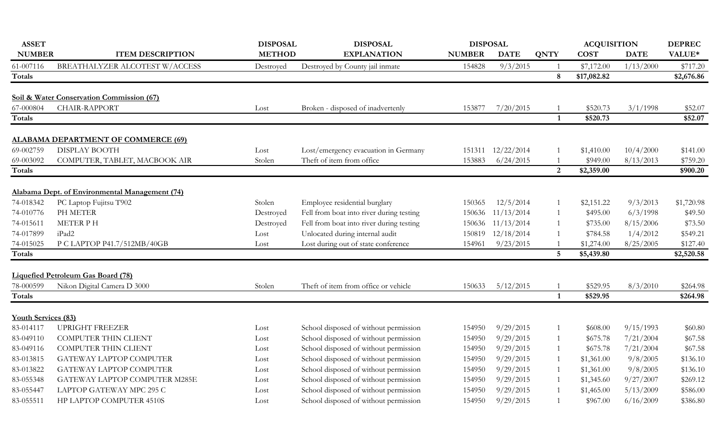| <b>NUMBER</b><br><b>METHOD</b><br><b>EXPLANATION</b><br><b>ITEM DESCRIPTION</b><br><b>NUMBER</b><br><b>COST</b><br><b>DATE</b><br>VALUE*<br><b>DATE</b><br><b>QNTY</b><br>BREATHALYZER ALCOTEST W/ACCESS<br>9/3/2015<br>\$7,172.00<br>1/13/2000<br>61-007116<br>Destroyed by County jail inmate<br>154828<br>Destroyed<br>\$17,082.82<br>Totals<br>8<br>Soil & Water Conservation Commission (67)<br>CHAIR-RAPPORT<br>67-000804<br>153877<br>7/20/2015<br>\$520.73<br>3/1/1998<br>Broken - disposed of inadvertenly<br>Lost<br>Totals<br>1<br>\$520.73<br><b>ALABAMA DEPARTMENT OF COMMERCE (69)</b><br><b>DISPLAY BOOTH</b><br>69-002759<br>Lost/emergency evacuation in Germany<br>12/22/2014<br>10/4/2000<br>Lost<br>151311<br>\$1,410.00<br>Theft of item from office<br>6/24/2015<br>69-003092<br>COMPUTER, TABLET, MACBOOK AIR<br>153883<br>\$949.00<br>8/13/2013<br>Stolen<br>$\overline{2}$<br>Totals<br>\$2,359.00<br>Alabama Dept. of Environmental Management (74)<br>74-018342<br>PC Laptop Fujitsu T902<br>12/5/2014<br>Stolen<br>Employee residential burglary<br>\$2,151.22<br>9/3/2013<br>150365<br>PH METER<br>Fell from boat into river during testing<br>74-010776<br>11/13/2014<br>6/3/1998<br>\$495.00<br>Destroyed<br>150636<br>-1<br>Fell from boat into river during testing<br>74-015611<br><b>METER PH</b><br>Destroyed<br>150636 11/13/2014<br>\$735.00<br>8/15/2006<br>-1<br>Unlocated during internal audit<br>74-017899<br>iPad2<br>150819 12/18/2014<br>\$784.58<br>1/4/2012<br>\$549.21<br>Lost<br>74-015025<br>Lost during out of state conference<br>9/23/2015<br>P C LAPTOP P41.7/512MB/40GB<br>154961<br>\$1,274.00<br>8/25/2005<br>Lost<br>Totals<br>$\overline{5}$<br>\$5,439.80<br><b>Liquefied Petroleum Gas Board (78)</b><br>78-000599<br>Nikon Digital Camera D 3000<br>Theft of item from office or vehicle<br>5/12/2015<br>\$529.95<br>Stolen<br>150633<br>8/3/2010<br>$\overline{1}$<br>Totals<br>\$529.95<br>$\mathbf{1}$ | <b>ASSET</b>        | <b>DISPOSAL</b> | <b>DISPOSAL</b> | <b>DISPOSAL</b> |  | <b>ACQUISITION</b> | <b>DEPREC</b> |
|--------------------------------------------------------------------------------------------------------------------------------------------------------------------------------------------------------------------------------------------------------------------------------------------------------------------------------------------------------------------------------------------------------------------------------------------------------------------------------------------------------------------------------------------------------------------------------------------------------------------------------------------------------------------------------------------------------------------------------------------------------------------------------------------------------------------------------------------------------------------------------------------------------------------------------------------------------------------------------------------------------------------------------------------------------------------------------------------------------------------------------------------------------------------------------------------------------------------------------------------------------------------------------------------------------------------------------------------------------------------------------------------------------------------------------------------------------------------------------------------------------------------------------------------------------------------------------------------------------------------------------------------------------------------------------------------------------------------------------------------------------------------------------------------------------------------------------------------------------------------------------------------------------------------------------------------------------------------------|---------------------|-----------------|-----------------|-----------------|--|--------------------|---------------|
|                                                                                                                                                                                                                                                                                                                                                                                                                                                                                                                                                                                                                                                                                                                                                                                                                                                                                                                                                                                                                                                                                                                                                                                                                                                                                                                                                                                                                                                                                                                                                                                                                                                                                                                                                                                                                                                                                                                                                                          |                     |                 |                 |                 |  |                    |               |
|                                                                                                                                                                                                                                                                                                                                                                                                                                                                                                                                                                                                                                                                                                                                                                                                                                                                                                                                                                                                                                                                                                                                                                                                                                                                                                                                                                                                                                                                                                                                                                                                                                                                                                                                                                                                                                                                                                                                                                          |                     |                 |                 |                 |  |                    | \$717.20      |
|                                                                                                                                                                                                                                                                                                                                                                                                                                                                                                                                                                                                                                                                                                                                                                                                                                                                                                                                                                                                                                                                                                                                                                                                                                                                                                                                                                                                                                                                                                                                                                                                                                                                                                                                                                                                                                                                                                                                                                          |                     |                 |                 |                 |  |                    | \$2,676.86    |
|                                                                                                                                                                                                                                                                                                                                                                                                                                                                                                                                                                                                                                                                                                                                                                                                                                                                                                                                                                                                                                                                                                                                                                                                                                                                                                                                                                                                                                                                                                                                                                                                                                                                                                                                                                                                                                                                                                                                                                          |                     |                 |                 |                 |  |                    |               |
|                                                                                                                                                                                                                                                                                                                                                                                                                                                                                                                                                                                                                                                                                                                                                                                                                                                                                                                                                                                                                                                                                                                                                                                                                                                                                                                                                                                                                                                                                                                                                                                                                                                                                                                                                                                                                                                                                                                                                                          |                     |                 |                 |                 |  |                    | \$52.07       |
|                                                                                                                                                                                                                                                                                                                                                                                                                                                                                                                                                                                                                                                                                                                                                                                                                                                                                                                                                                                                                                                                                                                                                                                                                                                                                                                                                                                                                                                                                                                                                                                                                                                                                                                                                                                                                                                                                                                                                                          |                     |                 |                 |                 |  |                    | \$52.07       |
|                                                                                                                                                                                                                                                                                                                                                                                                                                                                                                                                                                                                                                                                                                                                                                                                                                                                                                                                                                                                                                                                                                                                                                                                                                                                                                                                                                                                                                                                                                                                                                                                                                                                                                                                                                                                                                                                                                                                                                          |                     |                 |                 |                 |  |                    |               |
|                                                                                                                                                                                                                                                                                                                                                                                                                                                                                                                                                                                                                                                                                                                                                                                                                                                                                                                                                                                                                                                                                                                                                                                                                                                                                                                                                                                                                                                                                                                                                                                                                                                                                                                                                                                                                                                                                                                                                                          |                     |                 |                 |                 |  |                    | \$141.00      |
|                                                                                                                                                                                                                                                                                                                                                                                                                                                                                                                                                                                                                                                                                                                                                                                                                                                                                                                                                                                                                                                                                                                                                                                                                                                                                                                                                                                                                                                                                                                                                                                                                                                                                                                                                                                                                                                                                                                                                                          |                     |                 |                 |                 |  |                    | \$759.20      |
|                                                                                                                                                                                                                                                                                                                                                                                                                                                                                                                                                                                                                                                                                                                                                                                                                                                                                                                                                                                                                                                                                                                                                                                                                                                                                                                                                                                                                                                                                                                                                                                                                                                                                                                                                                                                                                                                                                                                                                          |                     |                 |                 |                 |  |                    | \$900.20      |
|                                                                                                                                                                                                                                                                                                                                                                                                                                                                                                                                                                                                                                                                                                                                                                                                                                                                                                                                                                                                                                                                                                                                                                                                                                                                                                                                                                                                                                                                                                                                                                                                                                                                                                                                                                                                                                                                                                                                                                          |                     |                 |                 |                 |  |                    |               |
|                                                                                                                                                                                                                                                                                                                                                                                                                                                                                                                                                                                                                                                                                                                                                                                                                                                                                                                                                                                                                                                                                                                                                                                                                                                                                                                                                                                                                                                                                                                                                                                                                                                                                                                                                                                                                                                                                                                                                                          |                     |                 |                 |                 |  |                    |               |
|                                                                                                                                                                                                                                                                                                                                                                                                                                                                                                                                                                                                                                                                                                                                                                                                                                                                                                                                                                                                                                                                                                                                                                                                                                                                                                                                                                                                                                                                                                                                                                                                                                                                                                                                                                                                                                                                                                                                                                          |                     |                 |                 |                 |  |                    | \$1,720.98    |
|                                                                                                                                                                                                                                                                                                                                                                                                                                                                                                                                                                                                                                                                                                                                                                                                                                                                                                                                                                                                                                                                                                                                                                                                                                                                                                                                                                                                                                                                                                                                                                                                                                                                                                                                                                                                                                                                                                                                                                          |                     |                 |                 |                 |  |                    | \$49.50       |
|                                                                                                                                                                                                                                                                                                                                                                                                                                                                                                                                                                                                                                                                                                                                                                                                                                                                                                                                                                                                                                                                                                                                                                                                                                                                                                                                                                                                                                                                                                                                                                                                                                                                                                                                                                                                                                                                                                                                                                          |                     |                 |                 |                 |  |                    | \$73.50       |
|                                                                                                                                                                                                                                                                                                                                                                                                                                                                                                                                                                                                                                                                                                                                                                                                                                                                                                                                                                                                                                                                                                                                                                                                                                                                                                                                                                                                                                                                                                                                                                                                                                                                                                                                                                                                                                                                                                                                                                          |                     |                 |                 |                 |  |                    |               |
|                                                                                                                                                                                                                                                                                                                                                                                                                                                                                                                                                                                                                                                                                                                                                                                                                                                                                                                                                                                                                                                                                                                                                                                                                                                                                                                                                                                                                                                                                                                                                                                                                                                                                                                                                                                                                                                                                                                                                                          |                     |                 |                 |                 |  |                    | \$127.40      |
|                                                                                                                                                                                                                                                                                                                                                                                                                                                                                                                                                                                                                                                                                                                                                                                                                                                                                                                                                                                                                                                                                                                                                                                                                                                                                                                                                                                                                                                                                                                                                                                                                                                                                                                                                                                                                                                                                                                                                                          |                     |                 |                 |                 |  |                    | \$2,520.58    |
|                                                                                                                                                                                                                                                                                                                                                                                                                                                                                                                                                                                                                                                                                                                                                                                                                                                                                                                                                                                                                                                                                                                                                                                                                                                                                                                                                                                                                                                                                                                                                                                                                                                                                                                                                                                                                                                                                                                                                                          |                     |                 |                 |                 |  |                    |               |
|                                                                                                                                                                                                                                                                                                                                                                                                                                                                                                                                                                                                                                                                                                                                                                                                                                                                                                                                                                                                                                                                                                                                                                                                                                                                                                                                                                                                                                                                                                                                                                                                                                                                                                                                                                                                                                                                                                                                                                          |                     |                 |                 |                 |  |                    | \$264.98      |
|                                                                                                                                                                                                                                                                                                                                                                                                                                                                                                                                                                                                                                                                                                                                                                                                                                                                                                                                                                                                                                                                                                                                                                                                                                                                                                                                                                                                                                                                                                                                                                                                                                                                                                                                                                                                                                                                                                                                                                          |                     |                 |                 |                 |  |                    | \$264.98      |
|                                                                                                                                                                                                                                                                                                                                                                                                                                                                                                                                                                                                                                                                                                                                                                                                                                                                                                                                                                                                                                                                                                                                                                                                                                                                                                                                                                                                                                                                                                                                                                                                                                                                                                                                                                                                                                                                                                                                                                          | Youth Services (83) |                 |                 |                 |  |                    |               |
| 83-014117<br><b>UPRIGHT FREEZER</b><br>School disposed of without permission<br>9/29/2015<br>9/15/1993<br>154950<br>\$608.00<br>Lost                                                                                                                                                                                                                                                                                                                                                                                                                                                                                                                                                                                                                                                                                                                                                                                                                                                                                                                                                                                                                                                                                                                                                                                                                                                                                                                                                                                                                                                                                                                                                                                                                                                                                                                                                                                                                                     |                     |                 |                 |                 |  |                    | \$60.80       |
| School disposed of without permission<br>83-049110<br><b>COMPUTER THIN CLIENT</b><br>9/29/2015<br>7/21/2004<br>\$675.78<br>154950<br>Lost<br>-1                                                                                                                                                                                                                                                                                                                                                                                                                                                                                                                                                                                                                                                                                                                                                                                                                                                                                                                                                                                                                                                                                                                                                                                                                                                                                                                                                                                                                                                                                                                                                                                                                                                                                                                                                                                                                          |                     |                 |                 |                 |  |                    | \$67.58       |
| School disposed of without permission<br>83-049116<br><b>COMPUTER THIN CLIENT</b><br>9/29/2015<br>\$675.78<br>7/21/2004<br>154950<br>Lost<br>-1                                                                                                                                                                                                                                                                                                                                                                                                                                                                                                                                                                                                                                                                                                                                                                                                                                                                                                                                                                                                                                                                                                                                                                                                                                                                                                                                                                                                                                                                                                                                                                                                                                                                                                                                                                                                                          |                     |                 |                 |                 |  |                    | \$67.58       |
| School disposed of without permission<br>83-013815<br>GATEWAY LAPTOP COMPUTER<br>9/29/2015<br>154950<br>\$1,361.00<br>9/8/2005<br>Lost<br>-1                                                                                                                                                                                                                                                                                                                                                                                                                                                                                                                                                                                                                                                                                                                                                                                                                                                                                                                                                                                                                                                                                                                                                                                                                                                                                                                                                                                                                                                                                                                                                                                                                                                                                                                                                                                                                             |                     |                 |                 |                 |  |                    | \$136.10      |
| School disposed of without permission<br>83-013822<br>GATEWAY LAPTOP COMPUTER<br>9/29/2015<br>9/8/2005<br>154950<br>\$1,361.00<br>1<br>Lost                                                                                                                                                                                                                                                                                                                                                                                                                                                                                                                                                                                                                                                                                                                                                                                                                                                                                                                                                                                                                                                                                                                                                                                                                                                                                                                                                                                                                                                                                                                                                                                                                                                                                                                                                                                                                              |                     |                 |                 |                 |  |                    | \$136.10      |
| 83-055348<br>School disposed of without permission<br>GATEWAY LAPTOP COMPUTER M285E<br>9/29/2015<br>9/27/2007<br>154950<br>\$1,345.60<br>Lost<br>-1                                                                                                                                                                                                                                                                                                                                                                                                                                                                                                                                                                                                                                                                                                                                                                                                                                                                                                                                                                                                                                                                                                                                                                                                                                                                                                                                                                                                                                                                                                                                                                                                                                                                                                                                                                                                                      |                     |                 |                 |                 |  |                    | \$269.12      |
| School disposed of without permission<br>83-055447<br>LAPTOP GATEWAY MPC 295 C<br>9/29/2015<br>\$1,465.00<br>5/13/2009<br>154950<br>Lost                                                                                                                                                                                                                                                                                                                                                                                                                                                                                                                                                                                                                                                                                                                                                                                                                                                                                                                                                                                                                                                                                                                                                                                                                                                                                                                                                                                                                                                                                                                                                                                                                                                                                                                                                                                                                                 |                     |                 |                 |                 |  |                    | \$586.00      |
| 83-055511<br>HP LAPTOP COMPUTER 4510S<br>School disposed of without permission<br>154950<br>9/29/2015<br>\$967.00<br>6/16/2009<br>Lost<br>$\overline{1}$                                                                                                                                                                                                                                                                                                                                                                                                                                                                                                                                                                                                                                                                                                                                                                                                                                                                                                                                                                                                                                                                                                                                                                                                                                                                                                                                                                                                                                                                                                                                                                                                                                                                                                                                                                                                                 |                     |                 |                 |                 |  |                    | \$386.80      |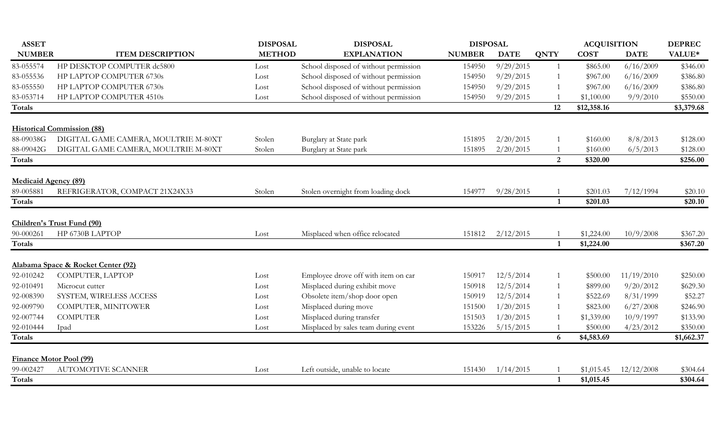| <b>ASSET</b>                   |                                      | <b>DISPOSAL</b><br><b>DISPOSAL</b> |                                       | <b>DISPOSAL</b> |             |                | <b>ACQUISITION</b> |             | <b>DEPREC</b> |
|--------------------------------|--------------------------------------|------------------------------------|---------------------------------------|-----------------|-------------|----------------|--------------------|-------------|---------------|
| <b>NUMBER</b>                  | <b>ITEM DESCRIPTION</b>              | <b>METHOD</b>                      | <b>EXPLANATION</b>                    | <b>NUMBER</b>   | <b>DATE</b> | <b>QNTY</b>    | <b>COST</b>        | <b>DATE</b> | VALUE*        |
| 83-055574                      | HP DESKTOP COMPUTER dc5800           | Lost                               | School disposed of without permission | 154950          | 9/29/2015   | $\overline{1}$ | \$865.00           | 6/16/2009   | \$346.00      |
| 83-055536                      | HP LAPTOP COMPUTER 6730s             | Lost                               | School disposed of without permission | 154950          | 9/29/2015   | $\overline{1}$ | \$967.00           | 6/16/2009   | \$386.80      |
| 83-055550                      | HP LAPTOP COMPUTER 6730s             | Lost                               | School disposed of without permission | 154950          | 9/29/2015   |                | \$967.00           | 6/16/2009   | \$386.80      |
| 83-053714                      | HP LAPTOP COMPUTER 4510s             | Lost                               | School disposed of without permission | 154950          | 9/29/2015   |                | \$1,100.00         | 9/9/2010    | \$550.00      |
| Totals                         |                                      |                                    |                                       |                 |             | 12             | \$12,358.16        |             | \$3,379.68    |
|                                |                                      |                                    |                                       |                 |             |                |                    |             |               |
|                                | <b>Historical Commission (88)</b>    |                                    |                                       |                 |             |                |                    |             |               |
| 88-09038G                      | DIGITAL GAME CAMERA, MOULTRIE M-80XT | Stolen                             | Burglary at State park                | 151895          | 2/20/2015   |                | \$160.00           | 8/8/2013    | \$128.00      |
| 88-09042G                      | DIGITAL GAME CAMERA, MOULTRIE M-80XT | Stolen                             | Burglary at State park                | 151895          | 2/20/2015   |                | \$160.00           | 6/5/2013    | \$128.00      |
| Totals                         |                                      |                                    |                                       |                 |             | 2              | \$320.00           |             | \$256.00      |
| <b>Medicaid Agency (89)</b>    |                                      |                                    |                                       |                 |             |                |                    |             |               |
| 89-005881                      | REFRIGERATOR, COMPACT 21X24X33       | Stolen                             | Stolen overnight from loading dock    | 154977          | 9/28/2015   |                | \$201.03           | 7/12/1994   | \$20.10       |
| Totals                         |                                      |                                    |                                       |                 |             | 1              | \$201.03           |             | \$20.10       |
|                                |                                      |                                    |                                       |                 |             |                |                    |             |               |
|                                | Children's Trust Fund (90)           |                                    |                                       |                 |             |                |                    |             |               |
| 90-000261                      | HP 6730B LAPTOP                      | Lost                               | Misplaced when office relocated       | 151812          | 2/12/2015   |                | \$1,224.00         | 10/9/2008   | \$367.20      |
| <b>Totals</b>                  |                                      |                                    |                                       |                 |             | $\mathbf{1}$   | \$1,224.00         |             | \$367.20      |
|                                | Alabama Space & Rocket Center (92)   |                                    |                                       |                 |             |                |                    |             |               |
| 92-010242                      | COMPUTER, LAPTOP                     | Lost                               | Employee drove off with item on car   | 150917          | 12/5/2014   | $\overline{1}$ | \$500.00           | 11/19/2010  | \$250.00      |
| 92-010491                      | Microcut cutter                      | Lost                               | Misplaced during exhibit move         | 150918          | 12/5/2014   | 1              | \$899.00           | 9/20/2012   | \$629.30      |
| 92-008390                      | SYSTEM, WIRELESS ACCESS              | Lost                               | Obsolete item/shop door open          | 150919          | 12/5/2014   | $\overline{1}$ | \$522.69           | 8/31/1999   | \$52.27       |
| 92-009790                      | COMPUTER, MINITOWER                  | Lost                               | Misplaced during move                 | 151500          | 1/20/2015   |                | \$823.00           | 6/27/2008   | \$246.90      |
| 92-007744                      | <b>COMPUTER</b>                      | Lost                               | Misplaced during transfer             | 151503          | 1/20/2015   |                | \$1,339.00         | 10/9/1997   | \$133.90      |
| 92-010444                      | Ipad                                 | Lost                               | Misplaced by sales team during event  | 153226          | 5/15/2015   |                | \$500.00           | 4/23/2012   | \$350.00      |
| Totals                         |                                      |                                    |                                       |                 |             | 6              | \$4,583.69         |             | \$1,662.37    |
|                                |                                      |                                    |                                       |                 |             |                |                    |             |               |
| <b>Finance Motor Pool (99)</b> |                                      |                                    |                                       |                 |             |                |                    |             |               |
| 99-002427                      | AUTOMOTIVE SCANNER                   | Lost                               | Left outside, unable to locate        | 151430          | 1/14/2015   |                | \$1,015.45         | 12/12/2008  | \$304.64      |
| Totals                         |                                      |                                    |                                       |                 |             | $\mathbf{1}$   | \$1,015.45         |             | \$304.64      |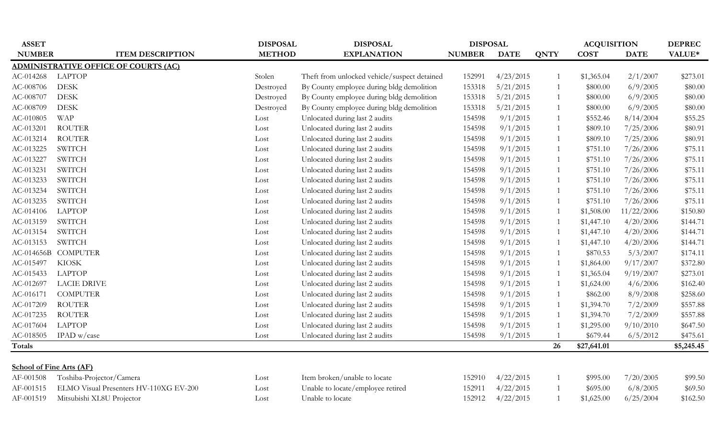| <b>ASSET</b>                    |                                             | <b>DISPOSAL</b> | <b>DISPOSAL</b>                              | <b>DISPOSAL</b> |             |                | <b>ACQUISITION</b> |             | <b>DEPREC</b> |
|---------------------------------|---------------------------------------------|-----------------|----------------------------------------------|-----------------|-------------|----------------|--------------------|-------------|---------------|
| <b>NUMBER</b>                   | <b>ITEM DESCRIPTION</b>                     | <b>METHOD</b>   | <b>EXPLANATION</b>                           | <b>NUMBER</b>   | <b>DATE</b> | <b>QNTY</b>    | <b>COST</b>        | <b>DATE</b> | VALUE*        |
|                                 | <b>ADMINISTRATIVE OFFICE OF COURTS (AC)</b> |                 |                                              |                 |             |                |                    |             |               |
| AC-014268                       | <b>LAPTOP</b>                               | Stolen          | Theft from unlocked vehicle/suspect detained | 152991          | 4/23/2015   | 1              | \$1,365.04         | 2/1/2007    | \$273.01      |
| AC-008706                       | <b>DESK</b>                                 | Destroyed       | By County employee during bldg demolition    | 153318          | 5/21/2015   | 1              | \$800.00           | 6/9/2005    | \$80.00       |
| AC-008707                       | <b>DESK</b>                                 | Destroyed       | By County employee during bldg demolition    | 153318          | 5/21/2015   | 1              | \$800.00           | 6/9/2005    | \$80.00       |
| AC-008709                       | <b>DESK</b>                                 | Destroyed       | By County employee during bldg demolition    | 153318          | 5/21/2015   | $\mathbf{1}$   | \$800.00           | 6/9/2005    | \$80.00       |
| AC-010805                       | <b>WAP</b>                                  | Lost            | Unlocated during last 2 audits               | 154598          | 9/1/2015    | $\mathbf{1}$   | \$552.46           | 8/14/2004   | \$55.25       |
| AC-013201                       | <b>ROUTER</b>                               | Lost            | Unlocated during last 2 audits               | 154598          | 9/1/2015    | 1              | \$809.10           | 7/25/2006   | \$80.91       |
| AC-013214                       | <b>ROUTER</b>                               | Lost            | Unlocated during last 2 audits               | 154598          | 9/1/2015    | 1              | \$809.10           | 7/25/2006   | \$80.91       |
| AC-013225                       | <b>SWITCH</b>                               | Lost            | Unlocated during last 2 audits               | 154598          | 9/1/2015    | 1              | \$751.10           | 7/26/2006   | \$75.11       |
| AC-013227                       | <b>SWITCH</b>                               | Lost            | Unlocated during last 2 audits               | 154598          | 9/1/2015    | $\mathbf{1}$   | \$751.10           | 7/26/2006   | \$75.11       |
| AC-013231                       | <b>SWITCH</b>                               | Lost            | Unlocated during last 2 audits               | 154598          | 9/1/2015    | $\mathbf{1}$   | \$751.10           | 7/26/2006   | \$75.11       |
| AC-013233                       | <b>SWITCH</b>                               | Lost            | Unlocated during last 2 audits               | 154598          | 9/1/2015    | $\mathbf{1}$   | \$751.10           | 7/26/2006   | \$75.11       |
| AC-013234                       | <b>SWITCH</b>                               | Lost            | Unlocated during last 2 audits               | 154598          | 9/1/2015    | 1              | \$751.10           | 7/26/2006   | \$75.11       |
| AC-013235                       | <b>SWITCH</b>                               | Lost            | Unlocated during last 2 audits               | 154598          | 9/1/2015    | 1              | \$751.10           | 7/26/2006   | \$75.11       |
| AC-014106                       | <b>LAPTOP</b>                               | Lost            | Unlocated during last 2 audits               | 154598          | 9/1/2015    | 1              | \$1,508.00         | 11/22/2006  | \$150.80      |
| AC-013159                       | <b>SWITCH</b>                               | Lost            | Unlocated during last 2 audits               | 154598          | 9/1/2015    | 1              | \$1,447.10         | 4/20/2006   | \$144.71      |
| AC-013154                       | <b>SWITCH</b>                               | Lost            | Unlocated during last 2 audits               | 154598          | 9/1/2015    | 1              | \$1,447.10         | 4/20/2006   | \$144.71      |
| AC-013153                       | <b>SWITCH</b>                               | Lost            | Unlocated during last 2 audits               | 154598          | 9/1/2015    | 1              | \$1,447.10         | 4/20/2006   | \$144.71      |
| AC-014656B                      | <b>COMPUTER</b>                             | Lost            | Unlocated during last 2 audits               | 154598          | 9/1/2015    | 1              | \$870.53           | 5/3/2007    | \$174.11      |
| AC-015497                       | <b>KIOSK</b>                                | Lost            | Unlocated during last 2 audits               | 154598          | 9/1/2015    | $\mathbf{1}$   | \$1,864.00         | 9/17/2007   | \$372.80      |
| AC-015433                       | <b>LAPTOP</b>                               | Lost            | Unlocated during last 2 audits               | 154598          | 9/1/2015    | $\mathbf{1}$   | \$1,365.04         | 9/19/2007   | \$273.01      |
| AC-012697                       | <b>LACIE DRIVE</b>                          | Lost            | Unlocated during last 2 audits               | 154598          | 9/1/2015    | 1              | \$1,624.00         | 4/6/2006    | \$162.40      |
| AC-016171                       | <b>COMPUTER</b>                             | Lost            | Unlocated during last 2 audits               | 154598          | 9/1/2015    | $\mathbf{1}$   | \$862.00           | 8/9/2008    | \$258.60      |
| AC-017209                       | <b>ROUTER</b>                               | Lost            | Unlocated during last 2 audits               | 154598          | 9/1/2015    | $\mathbf{1}$   | \$1,394.70         | 7/2/2009    | \$557.88      |
| AC-017235                       | <b>ROUTER</b>                               | Lost            | Unlocated during last 2 audits               | 154598          | 9/1/2015    | $\mathbf{1}$   | \$1,394.70         | 7/2/2009    | \$557.88      |
| AC-017604                       | <b>LAPTOP</b>                               | Lost            | Unlocated during last 2 audits               | 154598          | 9/1/2015    | $\mathbf{1}$   | \$1,295.00         | 9/10/2010   | \$647.50      |
| AC-018505                       | IPAD $w/case$                               | Lost            | Unlocated during last 2 audits               | 154598          | 9/1/2015    | $\overline{1}$ | \$679.44           | 6/5/2012    | \$475.61      |
| <b>Totals</b>                   |                                             |                 |                                              |                 |             | 26             | \$27,641.01        |             | \$5,245.45    |
|                                 |                                             |                 |                                              |                 |             |                |                    |             |               |
| <b>School of Fine Arts (AF)</b> |                                             |                 |                                              |                 |             |                |                    |             |               |
| AF-001508                       | Toshiba-Projector/Camera                    | Lost            | Item broken/unable to locate                 | 152910          | 4/22/2015   | $\mathbf{1}$   | \$995.00           | 7/20/2005   | \$99.50       |
| AF-001515                       | ELMO Visual Presenters HV-110XG EV-200      | Lost            | Unable to locate/employee retired            | 152911          | 4/22/2015   | 1              | \$695.00           | 6/8/2005    | \$69.50       |
| AF-001519                       | Mitsubishi XL8U Projector                   | Lost            | Unable to locate                             | 152912          | 4/22/2015   | $\mathbf{1}$   | \$1,625.00         | 6/25/2004   | \$162.50      |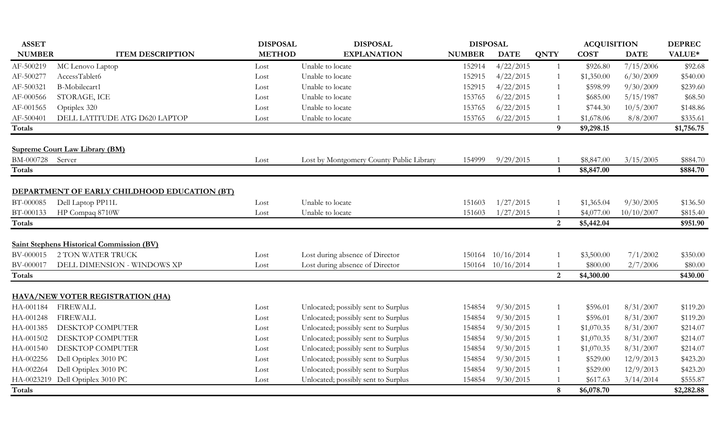| <b>ASSET</b>  |                                                  | <b>DISPOSAL</b> | <b>DISPOSAL</b>                          | <b>DISPOSAL</b> |                   |                          | <b>ACQUISITION</b> |             | <b>DEPREC</b> |
|---------------|--------------------------------------------------|-----------------|------------------------------------------|-----------------|-------------------|--------------------------|--------------------|-------------|---------------|
| <b>NUMBER</b> | <b>ITEM DESCRIPTION</b>                          | <b>METHOD</b>   | <b>EXPLANATION</b>                       | <b>NUMBER</b>   | <b>DATE</b>       | <b>QNTY</b>              | <b>COST</b>        | <b>DATE</b> | VALUE*        |
| AF-500219     | MC Lenovo Laptop                                 | Lost            | Unable to locate                         | 152914          | 4/22/2015         | $\overline{1}$           | \$926.80           | 7/15/2006   | \$92.68       |
| AF-500277     | AccessTablet6                                    | Lost            | Unable to locate                         | 152915          | 4/22/2015         | -1                       | \$1,350.00         | 6/30/2009   | \$540.00      |
| AF-500321     | B-Mobilecart1                                    | Lost            | Unable to locate                         | 152915          | 4/22/2015         | $\sqrt{1}$               | \$598.99           | 9/30/2009   | \$239.60      |
| AF-000566     | STORAGE, ICE                                     | Lost            | Unable to locate                         | 153765          | 6/22/2015         | $\overline{1}$           | \$685.00           | 5/15/1987   | \$68.50       |
| AF-001565     | Optiplex 320                                     | Lost            | Unable to locate                         | 153765          | 6/22/2015         |                          | \$744.30           | 10/5/2007   | \$148.86      |
| AF-500401     | DELL LATITUDE ATG D620 LAPTOP                    | Lost            | Unable to locate                         | 153765          | 6/22/2015         |                          | \$1,678.06         | 8/8/2007    | \$335.61      |
| <b>Totals</b> |                                                  |                 |                                          |                 |                   | $\boldsymbol{9}$         | \$9,298.15         |             | \$1,756.75    |
|               | <b>Supreme Court Law Library (BM)</b>            |                 |                                          |                 |                   |                          |                    |             |               |
| BM-000728     | Server                                           | Lost            | Lost by Montgomery County Public Library | 154999          | 9/29/2015         |                          | \$8,847.00         | 3/15/2005   | \$884.70      |
| <b>Totals</b> |                                                  |                 |                                          |                 |                   | $\mathbf{1}$             | \$8,847.00         |             | \$884.70      |
|               |                                                  |                 |                                          |                 |                   |                          |                    |             |               |
|               | DEPARTMENT OF EARLY CHILDHOOD EDUCATION (BT)     |                 |                                          |                 |                   |                          |                    |             |               |
| BT-000085     | Dell Laptop PP11L                                | Lost            | Unable to locate                         | 151603          | 1/27/2015         |                          | \$1,365.04         | 9/30/2005   | \$136.50      |
| BT-000133     | HP Compaq 8710W                                  | Lost            | Unable to locate                         | 151603          | 1/27/2015         |                          | \$4,077.00         | 10/10/2007  | \$815.40      |
| <b>Totals</b> |                                                  |                 |                                          |                 |                   | $\overline{2}$           | \$5,442.04         |             | \$951.90      |
|               |                                                  |                 |                                          |                 |                   |                          |                    |             |               |
|               | <b>Saint Stephens Historical Commission (BV)</b> |                 |                                          |                 |                   |                          |                    |             |               |
| BV-000015     | <b>2 TON WATER TRUCK</b>                         | Lost            | Lost during absence of Director          |                 | 150164 10/16/2014 | $\overline{\phantom{a}}$ | \$3,500.00         | 7/1/2002    | \$350.00      |
| BV-000017     | DELL DIMENSION - WINDOWS XP                      | Lost            | Lost during absence of Director          |                 | 150164 10/16/2014 |                          | \$800.00           | 2/7/2006    | \$80.00       |
| Totals        |                                                  |                 |                                          |                 |                   | 2                        | \$4,300.00         |             | \$430.00      |
|               | <b>HAVA/NEW VOTER REGISTRATION (HA)</b>          |                 |                                          |                 |                   |                          |                    |             |               |
| HA-001184     | <b>FIREWALL</b>                                  | Lost            | Unlocated; possibly sent to Surplus      | 154854          | 9/30/2015         | $\overline{1}$           | \$596.01           | 8/31/2007   | \$119.20      |
| HA-001248     | <b>FIREWALL</b>                                  | Lost            | Unlocated; possibly sent to Surplus      | 154854          | 9/30/2015         | $\overline{1}$           | \$596.01           | 8/31/2007   | \$119.20      |
| HA-001385     | DESKTOP COMPUTER                                 | Lost            | Unlocated; possibly sent to Surplus      | 154854          | 9/30/2015         | $\overline{1}$           | \$1,070.35         | 8/31/2007   | \$214.07      |
| HA-001502     | DESKTOP COMPUTER                                 | Lost            | Unlocated; possibly sent to Surplus      | 154854          | 9/30/2015         | $\overline{1}$           | \$1,070.35         | 8/31/2007   | \$214.07      |
| HA-001540     | DESKTOP COMPUTER                                 | Lost            | Unlocated; possibly sent to Surplus      | 154854          | 9/30/2015         | -1                       | \$1,070.35         | 8/31/2007   | \$214.07      |
| HA-002256     | Dell Optiplex 3010 PC                            | Lost            | Unlocated; possibly sent to Surplus      | 154854          | 9/30/2015         | -1                       | \$529.00           | 12/9/2013   | \$423.20      |
| HA-002264     | Dell Optiplex 3010 PC                            | Lost            | Unlocated; possibly sent to Surplus      | 154854          | 9/30/2015         | $\overline{\phantom{a}}$ | \$529.00           | 12/9/2013   | \$423.20      |
| HA-0023219    | Dell Optiplex 3010 PC                            | Lost            | Unlocated; possibly sent to Surplus      | 154854          | 9/30/2015         |                          | \$617.63           | 3/14/2014   | \$555.87      |
| <b>Totals</b> |                                                  |                 |                                          |                 |                   | 8                        | \$6,078.70         |             | \$2,282.88    |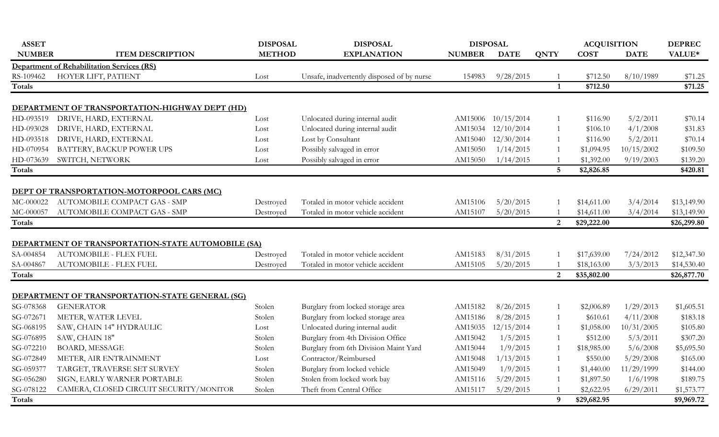| <b>ASSET</b>  |                                                                            | <b>DISPOSAL</b> | <b>DISPOSAL</b>                            | <b>DISPOSAL</b> |             |                         | <b>ACQUISITION</b> |             | <b>DEPREC</b> |
|---------------|----------------------------------------------------------------------------|-----------------|--------------------------------------------|-----------------|-------------|-------------------------|--------------------|-------------|---------------|
| <b>NUMBER</b> | <b>ITEM DESCRIPTION</b>                                                    | <b>METHOD</b>   | <b>EXPLANATION</b>                         | <b>NUMBER</b>   | <b>DATE</b> | <b>QNTY</b>             | <b>COST</b>        | <b>DATE</b> | VALUE*        |
|               | <b>Department of Rehabilitation Services (RS)</b>                          |                 |                                            |                 |             |                         |                    |             |               |
| RS-109462     | HOYER LIFT, PATIENT                                                        | Lost            | Unsafe, inadvertently disposed of by nurse | 154983          | 9/28/2015   |                         | \$712.50           | 8/10/1989   | \$71.25       |
| <b>Totals</b> |                                                                            |                 |                                            |                 |             | $\overline{\mathbf{1}}$ | \$712.50           |             | \$71.25       |
|               | DEPARTMENT OF TRANSPORTATION-HIGHWAY DEPT (HD)                             |                 |                                            |                 |             |                         |                    |             |               |
| HD-093519     | DRIVE, HARD, EXTERNAL                                                      | Lost            | Unlocated during internal audit            | AM15006         | 10/15/2014  |                         | \$116.90           | 5/2/2011    | \$70.14       |
| HD-093028     | DRIVE, HARD, EXTERNAL                                                      | Lost            | Unlocated during internal audit            | AM15034         | 12/10/2014  | $\mathbf{1}$            | \$106.10           | 4/1/2008    | \$31.83       |
| HD-093518     | DRIVE, HARD, EXTERNAL                                                      | Lost            | Lost by Consultant                         | AM15040         | 12/30/2014  | $\overline{1}$          | \$116.90           | 5/2/2011    | \$70.14       |
| HD-070954     | BATTERY, BACKUP POWER UPS                                                  | Lost            | Possibly salvaged in error                 | AM15050         | 1/14/2015   |                         | \$1,094.95         | 10/15/2002  | \$109.50      |
| HD-073639     | SWITCH, NETWORK                                                            | Lost            | Possibly salvaged in error                 | AM15050         | 1/14/2015   |                         | \$1,392.00         | 9/19/2003   | \$139.20      |
| Totals        |                                                                            |                 |                                            |                 |             | $5\overline{)}$         | \$2,826.85         |             | \$420.81      |
|               |                                                                            |                 |                                            |                 |             |                         |                    |             |               |
|               | DEPT OF TRANSPORTATION-MOTORPOOL CARS (MC)                                 |                 |                                            |                 |             |                         |                    |             |               |
| MC-000022     | AUTOMOBILE COMPACT GAS - SMP                                               | Destroyed       | Totaled in motor vehicle accident          | AM15106         | 5/20/2015   |                         | \$14,611.00        | 3/4/2014    | \$13,149.90   |
| MC-000057     | AUTOMOBILE COMPACT GAS - SMP                                               | Destroyed       | Totaled in motor vehicle accident          | AM15107         | 5/20/2015   |                         | \$14,611.00        | 3/4/2014    | \$13,149.90   |
| <b>Totals</b> |                                                                            |                 |                                            |                 |             | $\overline{2}$          | \$29,222.00        |             | \$26,299.80   |
|               |                                                                            |                 |                                            |                 |             |                         |                    |             |               |
|               | DEPARTMENT OF TRANSPORTATION-STATE AUTOMOBILE (SA)                         |                 |                                            |                 |             |                         |                    |             |               |
| SA-004854     | <b>AUTOMOBILE - FLEX FUEL</b>                                              | Destroyed       | Totaled in motor vehicle accident          | AM15183         | 8/31/2015   |                         | \$17,639.00        | 7/24/2012   | \$12,347.30   |
| SA-004867     | <b>AUTOMOBILE - FLEX FUEL</b>                                              | Destroyed       | Totaled in motor vehicle accident          | AM15105         | 5/20/2015   |                         | \$18,163.00        | 3/3/2013    | \$14,530.40   |
| <b>Totals</b> |                                                                            |                 |                                            |                 |             | $\overline{2}$          | \$35,802.00        |             | \$26,877.70   |
|               |                                                                            |                 |                                            |                 |             |                         |                    |             |               |
| SG-078368     | <b>DEPARTMENT OF TRANSPORTATION-STATE GENERAL (SG)</b><br><b>GENERATOR</b> | Stolen          | Burglary from locked storage area          | AM15182         | 8/26/2015   | -1                      | \$2,006.89         | 1/29/2013   | \$1,605.51    |
| SG-072671     | METER, WATER LEVEL                                                         | Stolen          | Burglary from locked storage area          | AM15186         | 8/28/2015   | 1                       | \$610.61           | 4/11/2008   | \$183.18      |
| SG-068195     | SAW, CHAIN 14" HYDRAULIC                                                   | Lost            | Unlocated during internal audit            | AM15035         | 12/15/2014  | 1                       | \$1,058.00         | 10/31/2005  | \$105.80      |
| SG-076895     | SAW, CHAIN 18"                                                             | Stolen          | Burglary from 4th Division Office          | AM15042         | 1/5/2015    | 1                       | \$512.00           | 5/3/2011    | \$307.20      |
| SG-072210     | <b>BOARD, MESSAGE</b>                                                      | Stolen          | Burglary from 6th Division Maint Yard      | AM15044         | 1/9/2015    | 1                       | \$18,985.00        | 5/6/2008    | \$5,695.50    |
| SG-072849     | METER, AIR ENTRAINMENT                                                     | Lost            | Contractor/Reimbursed                      | AM15048         | 1/13/2015   | 1                       | \$550.00           | 5/29/2008   | \$165.00      |
| SG-059377     | TARGET, TRAVERSE SET SURVEY                                                | Stolen          | Burglary from locked vehicle               | AM15049         | 1/9/2015    | 1                       | \$1,440.00         | 11/29/1999  | \$144.00      |
| SG-056280     | SIGN, EARLY WARNER PORTABLE                                                | Stolen          | Stolen from locked work bay                | AM15116         | 5/29/2015   |                         | \$1,897.50         | 1/6/1998    | \$189.75      |
| SG-078122     | CAMERA, CLOSED CIRCUIT SECURITY/MONITOR                                    | Stolen          | Theft from Central Office                  | AM15117         | 5/29/2015   |                         | \$2,622.95         | 6/29/2011   | \$1,573.77    |
| Totals        |                                                                            |                 |                                            |                 |             | 9                       | \$29,682.95        |             | \$9,969.72    |
|               |                                                                            |                 |                                            |                 |             |                         |                    |             |               |